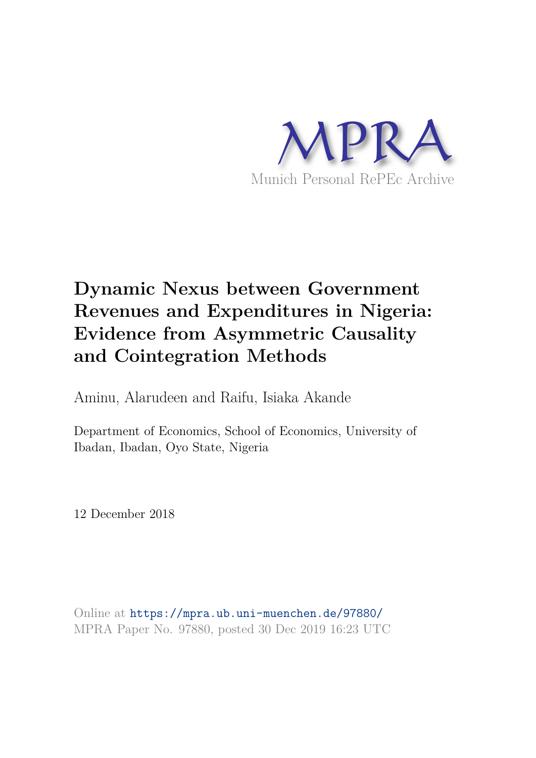

# **Dynamic Nexus between Government Revenues and Expenditures in Nigeria: Evidence from Asymmetric Causality and Cointegration Methods**

Aminu, Alarudeen and Raifu, Isiaka Akande

Department of Economics, School of Economics, University of Ibadan, Ibadan, Oyo State, Nigeria

12 December 2018

Online at https://mpra.ub.uni-muenchen.de/97880/ MPRA Paper No. 97880, posted 30 Dec 2019 16:23 UTC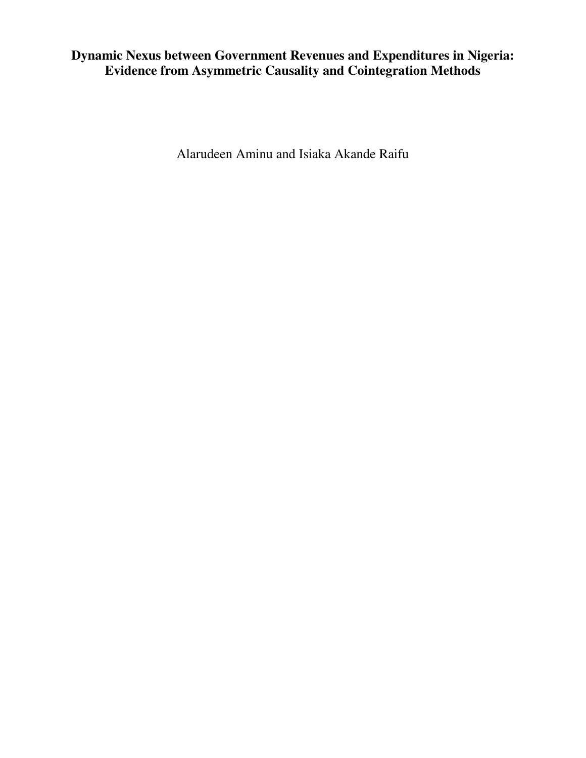# **Dynamic Nexus between Government Revenues and Expenditures in Nigeria: Evidence from Asymmetric Causality and Cointegration Methods**

Alarudeen Aminu and Isiaka Akande Raifu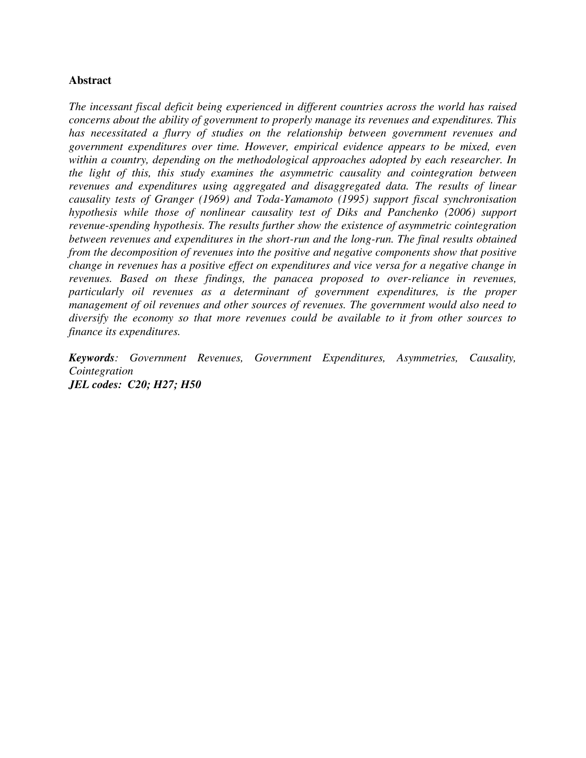## **Abstract**

*The incessant fiscal deficit being experienced in different countries across the world has raised concerns about the ability of government to properly manage its revenues and expenditures. This has necessitated a flurry of studies on the relationship between government revenues and government expenditures over time. However, empirical evidence appears to be mixed, even within a country, depending on the methodological approaches adopted by each researcher. In the light of this, this study examines the asymmetric causality and cointegration between revenues and expenditures using aggregated and disaggregated data. The results of linear causality tests of Granger (1969) and Toda-Yamamoto (1995) support fiscal synchronisation hypothesis while those of nonlinear causality test of Diks and Panchenko (2006) support revenue-spending hypothesis. The results further show the existence of asymmetric cointegration between revenues and expenditures in the short-run and the long-run. The final results obtained from the decomposition of revenues into the positive and negative components show that positive change in revenues has a positive effect on expenditures and vice versa for a negative change in revenues. Based on these findings, the panacea proposed to over-reliance in revenues, particularly oil revenues as a determinant of government expenditures, is the proper management of oil revenues and other sources of revenues. The government would also need to diversify the economy so that more revenues could be available to it from other sources to finance its expenditures.* 

*Keywords: Government Revenues, Government Expenditures, Asymmetries, Causality, Cointegration JEL codes: C20; H27; H50*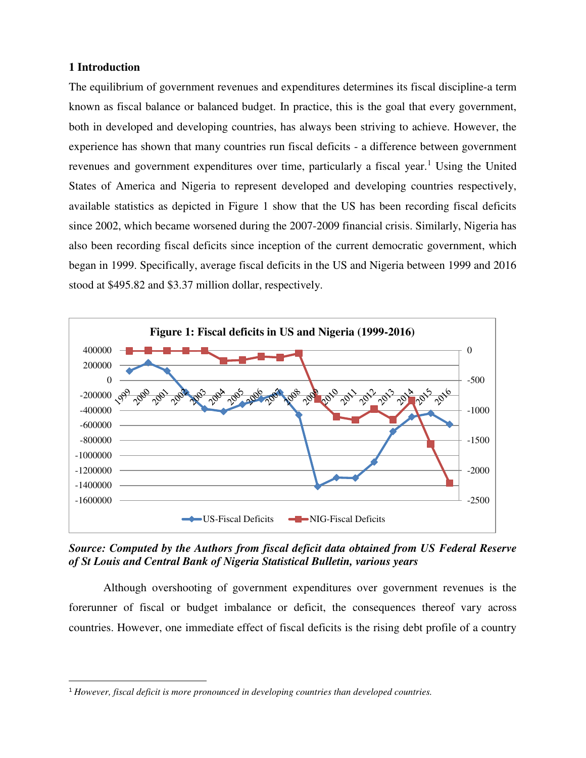## **1 Introduction**

l

The equilibrium of government revenues and expenditures determines its fiscal discipline-a term known as fiscal balance or balanced budget. In practice, this is the goal that every government, both in developed and developing countries, has always been striving to achieve. However, the experience has shown that many countries run fiscal deficits - a difference between government revenues and government expenditures over time, particularly a fiscal year.<sup>1</sup> Using the United States of America and Nigeria to represent developed and developing countries respectively, available statistics as depicted in Figure 1 show that the US has been recording fiscal deficits since 2002, which became worsened during the 2007-2009 financial crisis. Similarly, Nigeria has also been recording fiscal deficits since inception of the current democratic government, which began in 1999. Specifically, average fiscal deficits in the US and Nigeria between 1999 and 2016 stood at \$495.82 and \$3.37 million dollar, respectively.



*Source: Computed by the Authors from fiscal deficit data obtained from US Federal Reserve of St Louis and Central Bank of Nigeria Statistical Bulletin, various years* 

 Although overshooting of government expenditures over government revenues is the forerunner of fiscal or budget imbalance or deficit, the consequences thereof vary across countries. However, one immediate effect of fiscal deficits is the rising debt profile of a country

<sup>1</sup> *However, fiscal deficit is more pronounced in developing countries than developed countries.*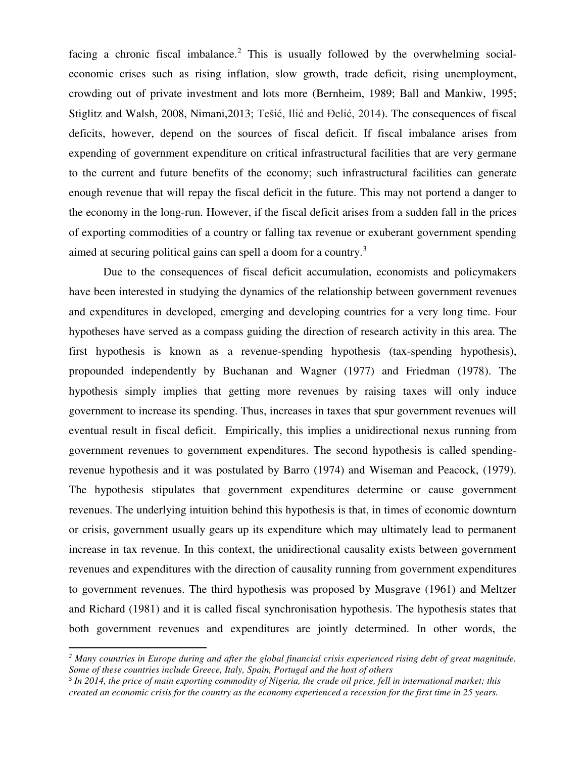facing a chronic fiscal imbalance.<sup>2</sup> This is usually followed by the overwhelming socialeconomic crises such as rising inflation, slow growth, trade deficit, rising unemployment, crowding out of private investment and lots more (Bernheim, 1989; Ball and Mankiw, 1995; Stiglitz and Walsh, 2008, Nimani,2013; Tešić, Ilić and Đelić, 2014). The consequences of fiscal deficits, however, depend on the sources of fiscal deficit. If fiscal imbalance arises from expending of government expenditure on critical infrastructural facilities that are very germane to the current and future benefits of the economy; such infrastructural facilities can generate enough revenue that will repay the fiscal deficit in the future. This may not portend a danger to the economy in the long-run. However, if the fiscal deficit arises from a sudden fall in the prices of exporting commodities of a country or falling tax revenue or exuberant government spending aimed at securing political gains can spell a doom for a country.<sup>3</sup>

 Due to the consequences of fiscal deficit accumulation, economists and policymakers have been interested in studying the dynamics of the relationship between government revenues and expenditures in developed, emerging and developing countries for a very long time. Four hypotheses have served as a compass guiding the direction of research activity in this area. The first hypothesis is known as a revenue-spending hypothesis (tax-spending hypothesis), propounded independently by Buchanan and Wagner (1977) and Friedman (1978). The hypothesis simply implies that getting more revenues by raising taxes will only induce government to increase its spending. Thus, increases in taxes that spur government revenues will eventual result in fiscal deficit. Empirically, this implies a unidirectional nexus running from government revenues to government expenditures. The second hypothesis is called spendingrevenue hypothesis and it was postulated by Barro (1974) and Wiseman and Peacock, (1979). The hypothesis stipulates that government expenditures determine or cause government revenues. The underlying intuition behind this hypothesis is that, in times of economic downturn or crisis, government usually gears up its expenditure which may ultimately lead to permanent increase in tax revenue. In this context, the unidirectional causality exists between government revenues and expenditures with the direction of causality running from government expenditures to government revenues. The third hypothesis was proposed by Musgrave (1961) and Meltzer and Richard (1981) and it is called fiscal synchronisation hypothesis. The hypothesis states that both government revenues and expenditures are jointly determined. In other words, the

l

<sup>&</sup>lt;sup>2</sup> Many countries in Europe during and after the global financial crisis experienced rising debt of great magnitude. *Some of these countries include Greece, Italy, Spain, Portugal and the host of others*

<sup>&</sup>lt;sup>3</sup> In 2014, the price of main exporting commodity of Nigeria, the crude oil price, fell in international market; this *created an economic crisis for the country as the economy experienced a recession for the first time in 25 years.*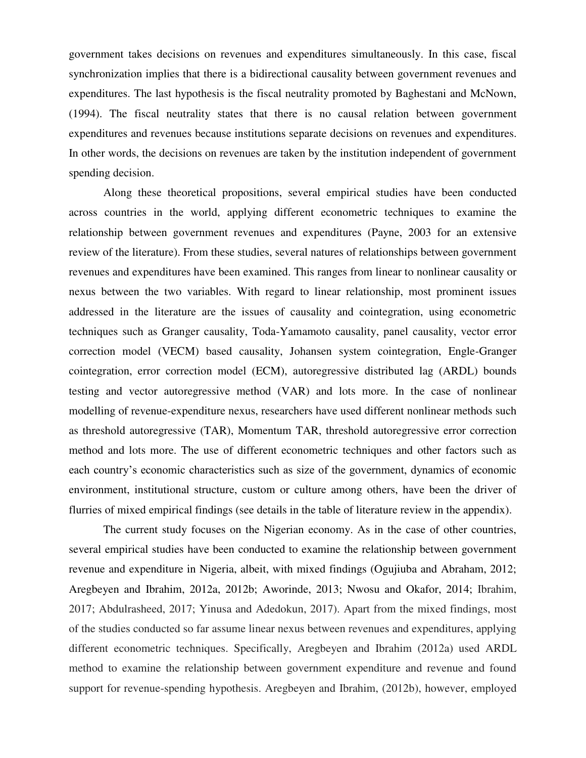government takes decisions on revenues and expenditures simultaneously. In this case, fiscal synchronization implies that there is a bidirectional causality between government revenues and expenditures. The last hypothesis is the fiscal neutrality promoted by Baghestani and McNown, (1994). The fiscal neutrality states that there is no causal relation between government expenditures and revenues because institutions separate decisions on revenues and expenditures. In other words, the decisions on revenues are taken by the institution independent of government spending decision.

 Along these theoretical propositions, several empirical studies have been conducted across countries in the world, applying different econometric techniques to examine the relationship between government revenues and expenditures (Payne, 2003 for an extensive review of the literature). From these studies, several natures of relationships between government revenues and expenditures have been examined. This ranges from linear to nonlinear causality or nexus between the two variables. With regard to linear relationship, most prominent issues addressed in the literature are the issues of causality and cointegration, using econometric techniques such as Granger causality, Toda-Yamamoto causality, panel causality, vector error correction model (VECM) based causality, Johansen system cointegration, Engle-Granger cointegration, error correction model (ECM), autoregressive distributed lag (ARDL) bounds testing and vector autoregressive method (VAR) and lots more. In the case of nonlinear modelling of revenue-expenditure nexus, researchers have used different nonlinear methods such as threshold autoregressive (TAR), Momentum TAR, threshold autoregressive error correction method and lots more. The use of different econometric techniques and other factors such as each country's economic characteristics such as size of the government, dynamics of economic environment, institutional structure, custom or culture among others, have been the driver of flurries of mixed empirical findings (see details in the table of literature review in the appendix).

 The current study focuses on the Nigerian economy. As in the case of other countries, several empirical studies have been conducted to examine the relationship between government revenue and expenditure in Nigeria, albeit, with mixed findings (Ogujiuba and Abraham, 2012; Aregbeyen and Ibrahim, 2012a, 2012b; Aworinde, 2013; Nwosu and Okafor, 2014; Ibrahim, 2017; Abdulrasheed, 2017; Yinusa and Adedokun, 2017). Apart from the mixed findings, most of the studies conducted so far assume linear nexus between revenues and expenditures, applying different econometric techniques. Specifically, Aregbeyen and Ibrahim (2012a) used ARDL method to examine the relationship between government expenditure and revenue and found support for revenue-spending hypothesis. Aregbeyen and Ibrahim, (2012b), however, employed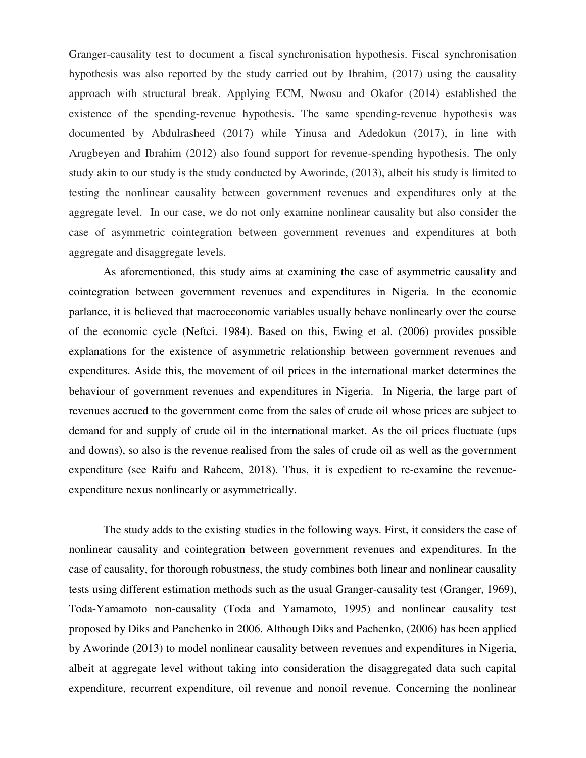Granger-causality test to document a fiscal synchronisation hypothesis. Fiscal synchronisation hypothesis was also reported by the study carried out by Ibrahim, (2017) using the causality approach with structural break. Applying ECM, Nwosu and Okafor (2014) established the existence of the spending-revenue hypothesis. The same spending-revenue hypothesis was documented by Abdulrasheed (2017) while Yinusa and Adedokun (2017), in line with Arugbeyen and Ibrahim (2012) also found support for revenue-spending hypothesis. The only study akin to our study is the study conducted by Aworinde, (2013), albeit his study is limited to testing the nonlinear causality between government revenues and expenditures only at the aggregate level. In our case, we do not only examine nonlinear causality but also consider the case of asymmetric cointegration between government revenues and expenditures at both aggregate and disaggregate levels.

 As aforementioned, this study aims at examining the case of asymmetric causality and cointegration between government revenues and expenditures in Nigeria. In the economic parlance, it is believed that macroeconomic variables usually behave nonlinearly over the course of the economic cycle (Neftci. 1984). Based on this, Ewing et al. (2006) provides possible explanations for the existence of asymmetric relationship between government revenues and expenditures. Aside this, the movement of oil prices in the international market determines the behaviour of government revenues and expenditures in Nigeria. In Nigeria, the large part of revenues accrued to the government come from the sales of crude oil whose prices are subject to demand for and supply of crude oil in the international market. As the oil prices fluctuate (ups and downs), so also is the revenue realised from the sales of crude oil as well as the government expenditure (see Raifu and Raheem, 2018). Thus, it is expedient to re-examine the revenueexpenditure nexus nonlinearly or asymmetrically.

 The study adds to the existing studies in the following ways. First, it considers the case of nonlinear causality and cointegration between government revenues and expenditures. In the case of causality, for thorough robustness, the study combines both linear and nonlinear causality tests using different estimation methods such as the usual Granger-causality test (Granger, 1969), Toda-Yamamoto non-causality (Toda and Yamamoto, 1995) and nonlinear causality test proposed by Diks and Panchenko in 2006. Although Diks and Pachenko, (2006) has been applied by Aworinde (2013) to model nonlinear causality between revenues and expenditures in Nigeria, albeit at aggregate level without taking into consideration the disaggregated data such capital expenditure, recurrent expenditure, oil revenue and nonoil revenue. Concerning the nonlinear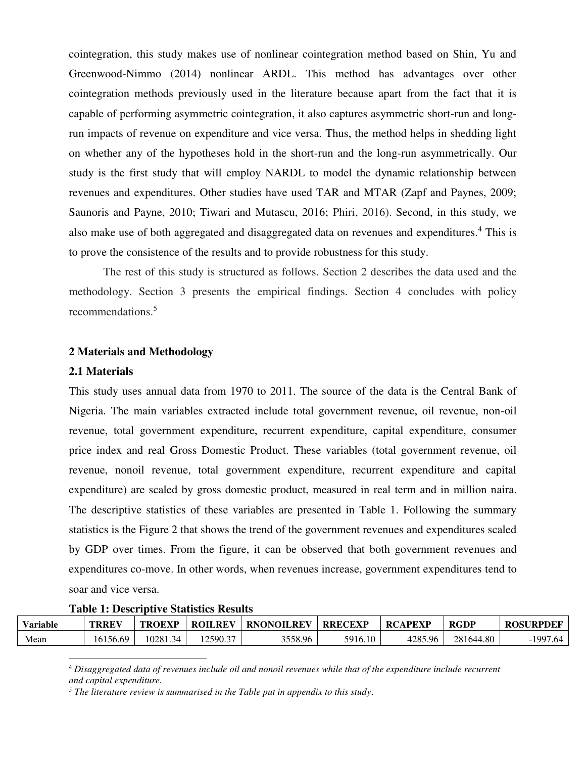cointegration, this study makes use of nonlinear cointegration method based on Shin, Yu and Greenwood-Nimmo (2014) nonlinear ARDL. This method has advantages over other cointegration methods previously used in the literature because apart from the fact that it is capable of performing asymmetric cointegration, it also captures asymmetric short-run and longrun impacts of revenue on expenditure and vice versa. Thus, the method helps in shedding light on whether any of the hypotheses hold in the short-run and the long-run asymmetrically. Our study is the first study that will employ NARDL to model the dynamic relationship between revenues and expenditures. Other studies have used TAR and MTAR (Zapf and Paynes, 2009; Saunoris and Payne, 2010; Tiwari and Mutascu, 2016; Phiri, 2016). Second, in this study, we also make use of both aggregated and disaggregated data on revenues and expenditures.<sup>4</sup> This is to prove the consistence of the results and to provide robustness for this study.

The rest of this study is structured as follows. Section 2 describes the data used and the methodology. Section 3 presents the empirical findings. Section 4 concludes with policy recommendations.<sup>5</sup>

#### **2 Materials and Methodology**

#### **2.1 Materials**

l

This study uses annual data from 1970 to 2011. The source of the data is the Central Bank of Nigeria. The main variables extracted include total government revenue, oil revenue, non-oil revenue, total government expenditure, recurrent expenditure, capital expenditure, consumer price index and real Gross Domestic Product. These variables (total government revenue, oil revenue, nonoil revenue, total government expenditure, recurrent expenditure and capital expenditure) are scaled by gross domestic product, measured in real term and in million naira. The descriptive statistics of these variables are presented in Table 1. Following the summary statistics is the Figure 2 that shows the trend of the government revenues and expenditures scaled by GDP over times. From the figure, it can be observed that both government revenues and expenditures co-move. In other words, when revenues increase, government expenditures tend to soar and vice versa.

| <b>Table 1: Descriptive Statistics Results</b> |  |
|------------------------------------------------|--|
|------------------------------------------------|--|

| Variable | <b>TRREV</b> | TROEXP   | <b>ROILREV</b> | <b>RNONOILREV</b> | <b>RRECEXP</b> | <b>RCAPEXP</b> | <b>RGDP</b> | <b>ROSURPDEF</b> |
|----------|--------------|----------|----------------|-------------------|----------------|----------------|-------------|------------------|
| Mean     | 16156.69     | 10281.34 | 12590.37       | 3558.96           | 5916.10        | 4285.96        | 281644.80   | $-1997.64$       |

<sup>4</sup> *Disaggregated data of revenues include oil and nonoil revenues while that of the expenditure include recurrent and capital expenditure.* 

*5 The literature review is summarised in the Table put in appendix to this study*.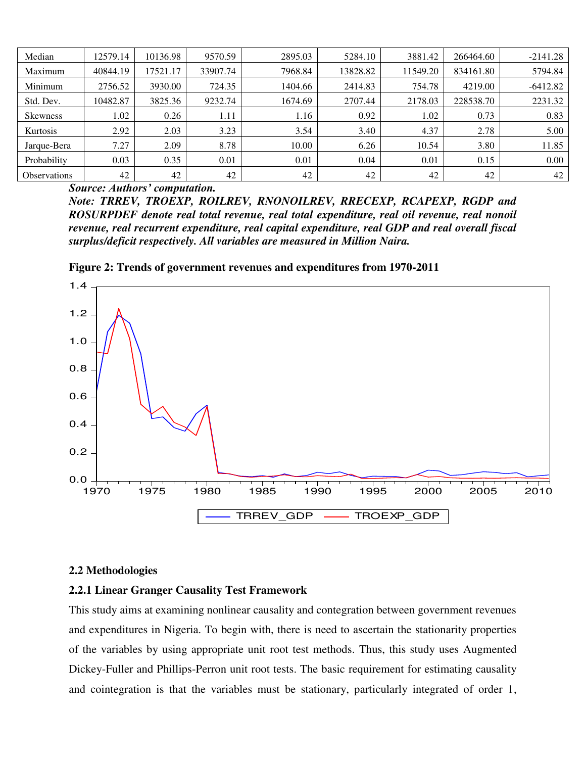| Median              | 12579.14 | 10136.98 | 9570.59  | 2895.03 | 5284.10  | 3881.42  | 266464.60 | $-2141.28$ |
|---------------------|----------|----------|----------|---------|----------|----------|-----------|------------|
| Maximum             | 40844.19 | 17521.17 | 33907.74 | 7968.84 | 13828.82 | 11549.20 | 834161.80 | 5794.84    |
| Minimum             | 2756.52  | 3930.00  | 724.35   | 1404.66 | 2414.83  | 754.78   | 4219.00   | $-6412.82$ |
| Std. Dev.           | 10482.87 | 3825.36  | 9232.74  | 1674.69 | 2707.44  | 2178.03  | 228538.70 | 2231.32    |
| <b>Skewness</b>     | 1.02     | 0.26     | 1.11     | 1.16    | 0.92     | 1.02     | 0.73      | 0.83       |
| Kurtosis            | 2.92     | 2.03     | 3.23     | 3.54    | 3.40     | 4.37     | 2.78      | 5.00       |
| Jarque-Bera         | 7.27     | 2.09     | 8.78     | 10.00   | 6.26     | 10.54    | 3.80      | 11.85      |
| Probability         | 0.03     | 0.35     | 0.01     | 0.01    | 0.04     | 0.01     | 0.15      | $0.00\,$   |
| <b>Observations</b> | 42       | 42       | 42       | 42      | 42       | 42       | 42        | 42         |

*Source: Authors' computation.* 

*Note: TRREV, TROEXP, ROILREV, RNONOILREV, RRECEXP, RCAPEXP, RGDP and ROSURPDEF denote real total revenue, real total expenditure, real oil revenue, real nonoil revenue, real recurrent expenditure, real capital expenditure, real GDP and real overall fiscal surplus/deficit respectively. All variables are measured in Million Naira.* 





#### **2.2 Methodologies**

#### **2.2.1 Linear Granger Causality Test Framework**

This study aims at examining nonlinear causality and contegration between government revenues and expenditures in Nigeria. To begin with, there is need to ascertain the stationarity properties of the variables by using appropriate unit root test methods. Thus, this study uses Augmented Dickey-Fuller and Phillips-Perron unit root tests. The basic requirement for estimating causality and cointegration is that the variables must be stationary, particularly integrated of order 1,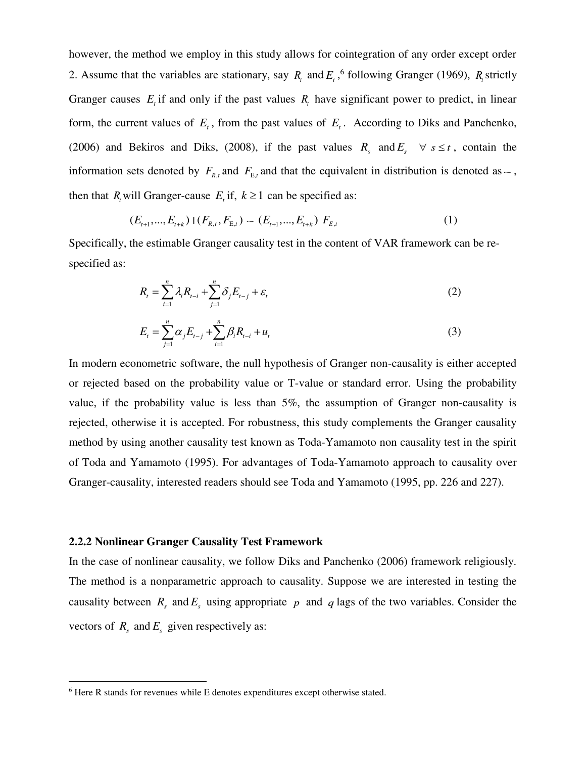however, the method we employ in this study allows for cointegration of any order except order 2. Assume that the variables are stationary, say  $R_t$  and  $E_t$ , <sup>6</sup> following Granger (1969),  $R_t$  strictly Granger causes  $E_t$  if and only if the past values  $R_t$  have significant power to predict, in linear form, the current values of  $E_t$ , from the past values of  $E_t$ . According to Diks and Panchenko, (2006) and Bekiros and Diks, (2008), if the past values  $R_s$  and  $E_s$   $\forall s \le t$ , contain the information sets denoted by  $F_{R,t}$  and  $F_{E,t}$  and that the equivalent in distribution is denoted as  $\sim$ , then that  $R_t$  will Granger-cause  $E_t$  if,  $k \geq 1$  can be specified as:

$$
(E_{t+1},...,E_{t+k})\mid (F_{R,t},F_{E,t})\sim (E_{t+1},...,E_{t+k})\;F_{E,t}
$$
\n
$$
(1)
$$

Specifically, the estimable Granger causality test in the content of VAR framework can be respecified as:

$$
R_t = \sum_{i=1}^n \lambda_i R_{t-i} + \sum_{j=1}^n \delta_j E_{t-j} + \varepsilon_t
$$
\n(2)

$$
E_{t} = \sum_{j=1}^{n} \alpha_{j} E_{t-j} + \sum_{i=1}^{n} \beta_{i} R_{t-i} + u_{t}
$$
\n(3)

In modern econometric software, the null hypothesis of Granger non-causality is either accepted or rejected based on the probability value or T-value or standard error. Using the probability value, if the probability value is less than 5%, the assumption of Granger non-causality is rejected, otherwise it is accepted. For robustness, this study complements the Granger causality method by using another causality test known as Toda-Yamamoto non causality test in the spirit of Toda and Yamamoto (1995). For advantages of Toda-Yamamoto approach to causality over Granger-causality, interested readers should see Toda and Yamamoto (1995, pp. 226 and 227).

#### **2.2.2 Nonlinear Granger Causality Test Framework**

l

In the case of nonlinear causality, we follow Diks and Panchenko (2006) framework religiously. The method is a nonparametric approach to causality. Suppose we are interested in testing the causality between  $R_s$  and  $E_s$  using appropriate  $p$  and  $q$  lags of the two variables. Consider the vectors of  $R_s$  and  $E_s$  given respectively as:

<sup>&</sup>lt;sup>6</sup> Here R stands for revenues while E denotes expenditures except otherwise stated.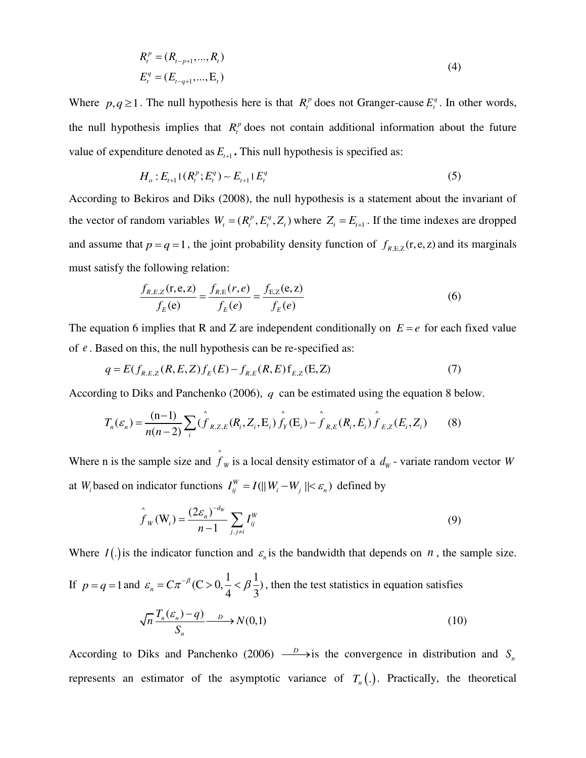$$
R_t^p = (R_{t-p+1},...,R_t)
$$
  
\n
$$
E_t^q = (E_{t-q+1},...,E_t)
$$
\n(4)

Where  $p, q \ge 1$ . The null hypothesis here is that  $R_t^p$  does not Granger-cause  $E_t^q$ . In other words, the null hypothesis implies that  $R_t^p$  does not contain additional information about the future value of expenditure denoted as  $E_{t+1}$ . This null hypothesis is specified as:

$$
H_o: E_{t+1}(R_t^p; E_t^q) \sim E_{t+1} | E_t^q
$$
\n<sup>(5)</sup>

According to Bekiros and Diks (2008), the null hypothesis is a statement about the invariant of the vector of random variables  $W_t = (R_t^p, E_t^q, Z_t)$  where  $Z_t = E_{t+1}$ . If the time indexes are dropped and assume that  $p = q = 1$ , the joint probability density function of  $f_{R,E,Z}$  (r,e, z) and its marginals must satisfy the following relation:

$$
\frac{f_{R,E,Z}(r,e,z)}{f_E(e)} = \frac{f_{R,E}(r,e)}{f_E(e)} = \frac{f_{E,Z}(e,z)}{f_E(e)}
$$
(6)

The equation 6 implies that R and Z are independent conditionally on  $E = e$  for each fixed value of *e* . Based on this, the null hypothesis can be re-specified as:

$$
q = E(f_{R,E,Z}(R, E, Z)f_E(E) - f_{R,E}(R, E)f_{E,Z}(E, Z)
$$
\n(7)

According to Diks and Panchenko (2006), *q* can be estimated using the equation 8 below.

$$
T_n(\varepsilon_n) = \frac{(n-1)}{n(n-2)} \sum_i (\hat{f}_{R,Z,E}(R_i, Z_i, E_i) \hat{f}_Y(E_i) - \hat{f}_{R,E}(R_i, E_i) \hat{f}_{E,Z}(E_i, Z_i)
$$
(8)

Where n is the sample size and  $\hat{f}$  $f_w$  is a local density estimator of a  $d_w$  - variate random vector *W* at *W*<sub>*i*</sub> based on indicator functions  $I_{ij}^W = I(||W_i - W_j|| < \varepsilon_n)$  defined by

$$
\hat{f}_W(\mathbf{W}_i) = \frac{(2\varepsilon_n)^{-d_W}}{n-1} \sum_{j,j \neq i} I_{ij}^W
$$
\n(9)

Where  $I(.)$  is the indicator function and  $\varepsilon_n$  is the bandwidth that depends on *n*, the sample size.

If  $p = q = 1$  and  $\varepsilon_n = C\pi^{-\beta}$  (C > 0,  $\frac{1}{4} < \beta \frac{1}{3}$ ), then the test statistics in equation satisfies

$$
\sqrt{n}\frac{T_n(\varepsilon_n)-q)}{S_n} \longrightarrow N(0,1) \tag{10}
$$

According to Diks and Panchenko (2006)  $\frac{D}{\longrightarrow}$  is the convergence in distribution and S<sub>n</sub> represents an estimator of the asymptotic variance of  $T_n(.)$ . Practically, the theoretical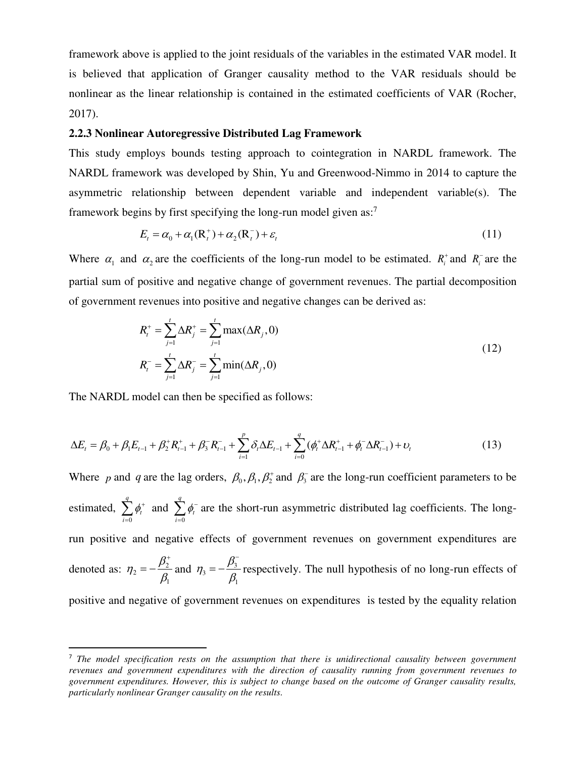framework above is applied to the joint residuals of the variables in the estimated VAR model. It is believed that application of Granger causality method to the VAR residuals should be nonlinear as the linear relationship is contained in the estimated coefficients of VAR (Rocher, 2017).

#### **2.2.3 Nonlinear Autoregressive Distributed Lag Framework**

This study employs bounds testing approach to cointegration in NARDL framework. The NARDL framework was developed by Shin, Yu and Greenwood-Nimmo in 2014 to capture the asymmetric relationship between dependent variable and independent variable(s). The framework begins by first specifying the long-run model given as:<sup>7</sup>

$$
E_t = \alpha_0 + \alpha_1(\mathbf{R}_t^+) + \alpha_2(\mathbf{R}_t^-) + \varepsilon_t \tag{11}
$$

Where  $\alpha_1$  and  $\alpha_2$  are the coefficients of the long-run model to be estimated.  $R_i^+$  and  $R_i^-$  are the partial sum of positive and negative change of government revenues. The partial decomposition of government revenues into positive and negative changes can be derived as:

$$
R_t^+ = \sum_{j=1}^t \Delta R_j^+ = \sum_{j=1}^t \max(\Delta R_j, 0)
$$
  

$$
R_t^- = \sum_{j=1}^t \Delta R_j^- = \sum_{j=1}^t \min(\Delta R_j, 0)
$$
 (12)

The NARDL model can then be specified as follows:

l

$$
\Delta E_t = \beta_0 + \beta_1 E_{t-1} + \beta_2^+ R_{t-1}^+ + \beta_3^- R_{t-1}^- + \sum_{i=1}^p \delta_i \Delta E_{t-1} + \sum_{i=0}^q (\phi_t^+ \Delta R_{t-1}^+ + \phi_t^- \Delta R_{t-1}^-) + \nu_t
$$
\n(13)

Where p and q are the lag orders,  $\beta_0$ ,  $\beta_1$ ,  $\beta_2^+$  and  $\beta_3^-$  are the long-run coefficient parameters to be estimated,  $\mathbf{0}$ *q t i*  $\phi_t^+$  $\sum_{i=0}^{n} \phi_i^+$  and  $\sum_{i=0}^{n}$ *q t i*  $\phi_t^{-}$  $\sum_{i=0}^{n} \phi_i$  are the short-run asymmetric distributed lag coefficients. The longrun positive and negative effects of government revenues on government expenditures are denoted as:  $\eta_2 = -\frac{\mu_2}{\rho}$ 1  $\eta_2 = -\frac{\beta_2^+}{\beta_1^-}$  $^{+}$  $=-\frac{\rho_2}{\rho}$  and  $\eta_3=-\frac{\rho_3}{\rho}$ 1  $\eta_3 = -\frac{\beta_3^2}{\beta_1^2}$  $\overline{a}$  $=-\frac{p_3}{a}$  respectively. The null hypothesis of no long-run effects of positive and negative of government revenues on expenditures is tested by the equality relation

<sup>7</sup> *The model specification rests on the assumption that there is unidirectional causality between government revenues and government expenditures with the direction of causality running from government revenues to government expenditures. However, this is subject to change based on the outcome of Granger causality results, particularly nonlinear Granger causality on the results.*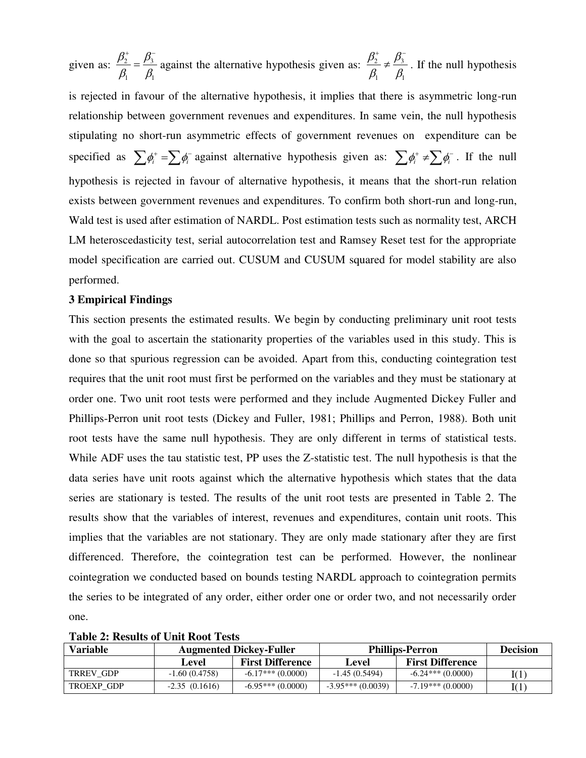given as:  $\frac{p_2}{q} = \frac{p_3}{q}$  $1 \quad P_1$  $\beta_2^+$   $\beta_3$  $\beta_1$   $\beta_1$  $+\overline{Q}$  $=\frac{p_3}{a}$  against the alternative hypothesis given as:  $\frac{p_2}{a} \neq \frac{p_3}{a}$  $1 \quad P_1$  $\beta_2^*$  ,  $\beta_1$  $\beta_{\text{\tiny{l}}}$   $\beta_{\text{\tiny{l}}}$  $+\overline{Q}$  $\neq \frac{P_3}{Q}$ . If the null hypothesis is rejected in favour of the alternative hypothesis, it implies that there is asymmetric long-run relationship between government revenues and expenditures. In same vein, the null hypothesis stipulating no short-run asymmetric effects of government revenues on expenditure can be specified as  $\sum \phi_i^+ = \sum \phi_i^-$  against alternative hypothesis given as:  $\sum \phi_i^+ \neq \sum \phi_i^-$ . If the null hypothesis is rejected in favour of alternative hypothesis, it means that the short-run relation exists between government revenues and expenditures. To confirm both short-run and long-run, Wald test is used after estimation of NARDL. Post estimation tests such as normality test, ARCH LM heteroscedasticity test, serial autocorrelation test and Ramsey Reset test for the appropriate model specification are carried out. CUSUM and CUSUM squared for model stability are also performed.

### **3 Empirical Findings**

This section presents the estimated results. We begin by conducting preliminary unit root tests with the goal to ascertain the stationarity properties of the variables used in this study. This is done so that spurious regression can be avoided. Apart from this, conducting cointegration test requires that the unit root must first be performed on the variables and they must be stationary at order one. Two unit root tests were performed and they include Augmented Dickey Fuller and Phillips-Perron unit root tests (Dickey and Fuller, 1981; Phillips and Perron, 1988). Both unit root tests have the same null hypothesis. They are only different in terms of statistical tests. While ADF uses the tau statistic test, PP uses the Z-statistic test. The null hypothesis is that the data series have unit roots against which the alternative hypothesis which states that the data series are stationary is tested. The results of the unit root tests are presented in Table 2. The results show that the variables of interest, revenues and expenditures, contain unit roots. This implies that the variables are not stationary. They are only made stationary after they are first differenced. Therefore, the cointegration test can be performed. However, the nonlinear cointegration we conducted based on bounds testing NARDL approach to cointegration permits the series to be integrated of any order, either order one or order two, and not necessarily order one.

| Tudio Ti Iloguno di Chile Ilode Ilogo |                 |                                |                        |                         |      |  |  |  |
|---------------------------------------|-----------------|--------------------------------|------------------------|-------------------------|------|--|--|--|
| Variable                              |                 | <b>Augmented Dickey-Fuller</b> | <b>Phillips-Perron</b> | <b>Decision</b>         |      |  |  |  |
|                                       | Level           | <b>First Difference</b>        | Level                  | <b>First Difference</b> |      |  |  |  |
| TRREV GDP                             | $-1.60(0.4758)$ | $-6.17***(0.0000)$             | $-1.45(0.5494)$        | $-6.24***(0.0000)$      | I(1) |  |  |  |
| TROEXP GDP                            | $-2.35(0.1616)$ | $-6.95***(0.0000)$             | $-3.95***(0.0039)$     | $-7.19***(0.0000)$      | I(1) |  |  |  |

**Table 2: Results of Unit Root Tests**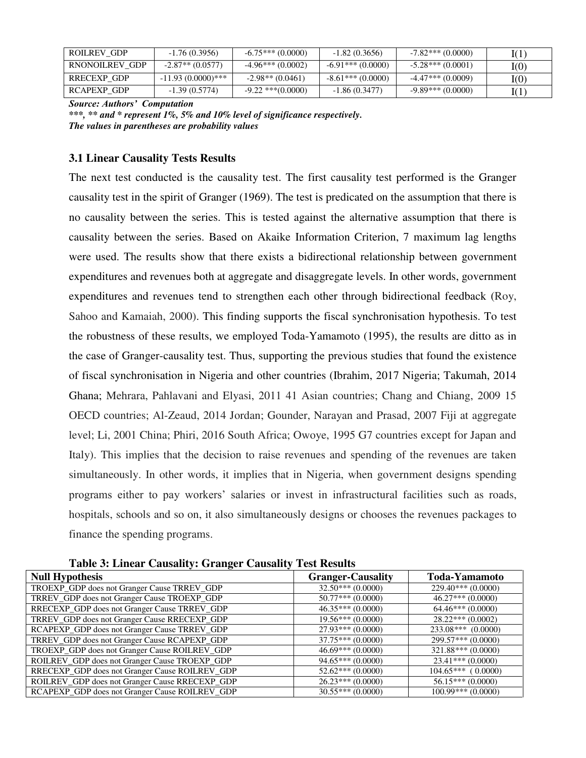| ROILREV GDP    | $-1.76(0.3956)$      | $-6.75***(0.0000)$     | $-1.82(0.3656)$    | $-7.82$ *** (0.0000) | I(1)         |
|----------------|----------------------|------------------------|--------------------|----------------------|--------------|
| RNONOILREV GDP | $-2.87**$ (0.0577)   | $-4.96***(0.0002)$     | $-6.91***(0.0000)$ | $-5.28***(0.0001)$   | ${\rm I}(0)$ |
| RRECEXP GDP    | $-11.93(0.0000)$ *** | $-2.98**$ (0.0461)     | $-8.61***(0.0000)$ | $-4.47***(0.0009)$   | ${\rm I}(0)$ |
| RCAPEXP GDP    | $-1.39(0.5774)$      | $-9.22$ *** $(0.0000)$ | $-1.86(0.3477)$    | $-9.89***(0.0000)$   | I(T          |

*Source: Authors' Computation*

*\*\*\*, \*\* and \* represent 1%, 5% and 10% level of significance respectively. The values in parentheses are probability values* 

# **3.1 Linear Causality Tests Results**

The next test conducted is the causality test. The first causality test performed is the Granger causality test in the spirit of Granger (1969). The test is predicated on the assumption that there is no causality between the series. This is tested against the alternative assumption that there is causality between the series. Based on Akaike Information Criterion, 7 maximum lag lengths were used. The results show that there exists a bidirectional relationship between government expenditures and revenues both at aggregate and disaggregate levels. In other words, government expenditures and revenues tend to strengthen each other through bidirectional feedback (Roy, Sahoo and Kamaiah, 2000). This finding supports the fiscal synchronisation hypothesis. To test the robustness of these results, we employed Toda-Yamamoto (1995), the results are ditto as in the case of Granger-causality test. Thus, supporting the previous studies that found the existence of fiscal synchronisation in Nigeria and other countries (Ibrahim, 2017 Nigeria; Takumah, 2014 Ghana; Mehrara, Pahlavani and Elyasi, 2011 41 Asian countries; Chang and Chiang, 2009 15 OECD countries; Al-Zeaud, 2014 Jordan; Gounder, Narayan and Prasad, 2007 Fiji at aggregate level; Li, 2001 China; Phiri, 2016 South Africa; Owoye, 1995 G7 countries except for Japan and Italy). This implies that the decision to raise revenues and spending of the revenues are taken simultaneously. In other words, it implies that in Nigeria, when government designs spending programs either to pay workers' salaries or invest in infrastructural facilities such as roads, hospitals, schools and so on, it also simultaneously designs or chooses the revenues packages to finance the spending programs.

| <b>Null Hypothesis</b>                         | <b>Granger-Causality</b> | <b>Toda-Yamamoto</b> |
|------------------------------------------------|--------------------------|----------------------|
| TROEXP_GDP does not Granger Cause TRREV_GDP    | $32.50***(0.0000)$       | $229.40***(0.0000)$  |
| TRREV_GDP does not Granger Cause TROEXP_GDP    | $50.77***(0.0000)$       | $46.27***(0.0000)$   |
| RRECEXP_GDP does not Granger Cause TRREV_GDP   | $46.35***(0.0000)$       | $64.46***(0.0000)$   |
| TRREV_GDP does not Granger Cause RRECEXP_GDP   | $19.56***(0.0000)$       | $28.22***(0.0002)$   |
| RCAPEXP_GDP does not Granger Cause TRREV_GDP   | $27.93***(0.0000)$       | $233.08***$ (0.0000) |
| TRREV_GDP does not Granger Cause RCAPEXP_GDP   | $37.75***(0.0000)$       | 299.57*** (0.0000)   |
| TROEXP_GDP does not Granger Cause ROILREV_GDP  | $46.69***(0.0000)$       | $321.88***(0.0000)$  |
| ROILREV_GDP does not Granger Cause TROEXP_GDP  | $94.65***(0.0000)$       | $23.41***(0.0000)$   |
| RRECEXP_GDP does not Granger Cause ROILREV_GDP | $52.62***(0.0000)$       | $104.65***$ (0.0000) |
| ROILREV_GDP does not Granger Cause RRECEXP_GDP | $26.23***(0.0000)$       | $56.15***(0.0000)$   |
| RCAPEXP_GDP does not Granger Cause ROILREV_GDP | $30.55***(0.0000)$       | $100.99***(0.0000)$  |

**Table 3: Linear Causality: Granger Causality Test Results**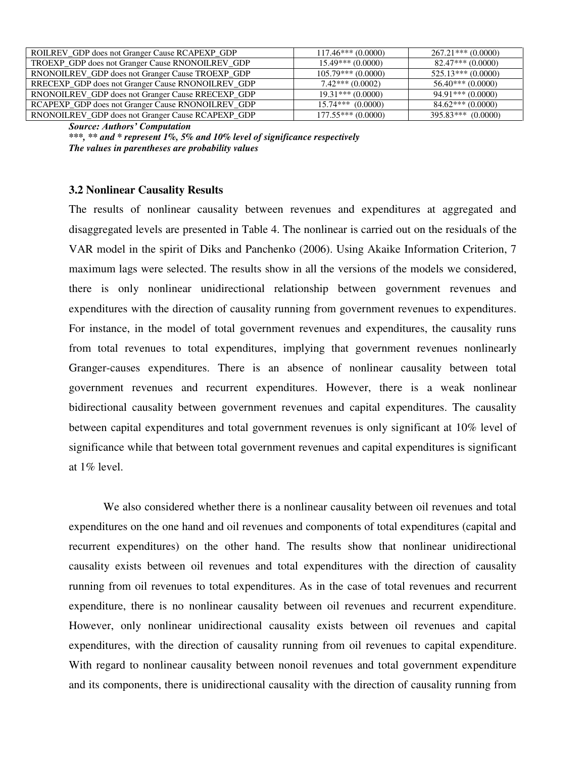| ROILREV_GDP does not Granger Cause RCAPEXP_GDP    | $117.46***(0.0000)$ | $267.21***(0.0000)$ |
|---------------------------------------------------|---------------------|---------------------|
| TROEXP_GDP does not Granger Cause RNONOILREV_GDP  | $15.49***(0.0000)$  | $82.47***(0.0000)$  |
| RNONOILREV_GDP does not Granger Cause TROEXP_GDP  | $105.79***(0.0000)$ | $525.13***(0.0000)$ |
| RRECEXP_GDP does not Granger Cause RNONOILREV_GDP | $7.42***(0.0002)$   | $56.40***(0.0000)$  |
| RNONOILREV GDP does not Granger Cause RRECEXP GDP | $19.31***(0.0000)$  | $94.91***(0.0000)$  |
| RCAPEXP_GDP does not Granger Cause RNONOILREV_GDP | $15.74***$ (0.0000) | $84.62***(0.0000)$  |
| RNONOILREV GDP does not Granger Cause RCAPEXP GDP | $177.55***(0.0000)$ | $395.83***(0.0000)$ |

*Source: Authors' Computation* 

*\*\*\*, \*\* and \* represent 1%, 5% and 10% level of significance respectively The values in parentheses are probability values* 

#### **3.2 Nonlinear Causality Results**

The results of nonlinear causality between revenues and expenditures at aggregated and disaggregated levels are presented in Table 4. The nonlinear is carried out on the residuals of the VAR model in the spirit of Diks and Panchenko (2006). Using Akaike Information Criterion, 7 maximum lags were selected. The results show in all the versions of the models we considered, there is only nonlinear unidirectional relationship between government revenues and expenditures with the direction of causality running from government revenues to expenditures. For instance, in the model of total government revenues and expenditures, the causality runs from total revenues to total expenditures, implying that government revenues nonlinearly Granger-causes expenditures. There is an absence of nonlinear causality between total government revenues and recurrent expenditures. However, there is a weak nonlinear bidirectional causality between government revenues and capital expenditures. The causality between capital expenditures and total government revenues is only significant at 10% level of significance while that between total government revenues and capital expenditures is significant at 1% level.

 We also considered whether there is a nonlinear causality between oil revenues and total expenditures on the one hand and oil revenues and components of total expenditures (capital and recurrent expenditures) on the other hand. The results show that nonlinear unidirectional causality exists between oil revenues and total expenditures with the direction of causality running from oil revenues to total expenditures. As in the case of total revenues and recurrent expenditure, there is no nonlinear causality between oil revenues and recurrent expenditure. However, only nonlinear unidirectional causality exists between oil revenues and capital expenditures, with the direction of causality running from oil revenues to capital expenditure. With regard to nonlinear causality between nonoil revenues and total government expenditure and its components, there is unidirectional causality with the direction of causality running from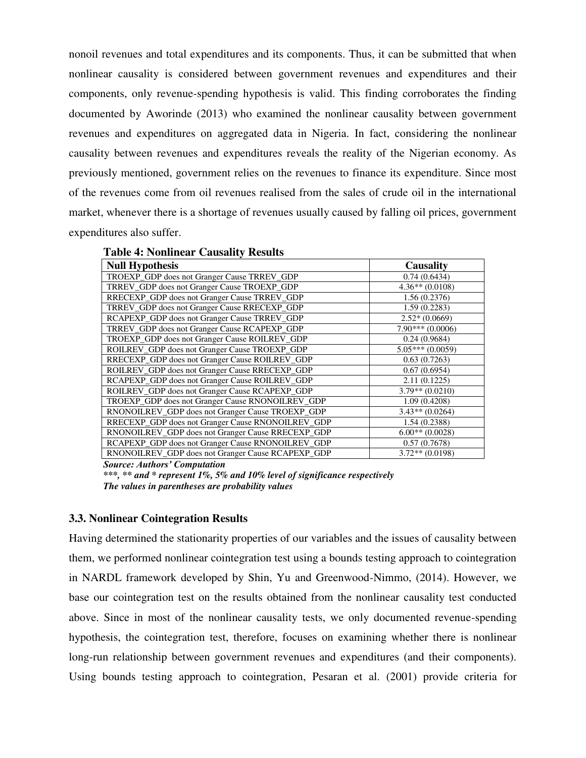nonoil revenues and total expenditures and its components. Thus, it can be submitted that when nonlinear causality is considered between government revenues and expenditures and their components, only revenue-spending hypothesis is valid. This finding corroborates the finding documented by Aworinde (2013) who examined the nonlinear causality between government revenues and expenditures on aggregated data in Nigeria. In fact, considering the nonlinear causality between revenues and expenditures reveals the reality of the Nigerian economy. As previously mentioned, government relies on the revenues to finance its expenditure. Since most of the revenues come from oil revenues realised from the sales of crude oil in the international market, whenever there is a shortage of revenues usually caused by falling oil prices, government expenditures also suffer.

**Table 4: Nonlinear Causality Results** 

| <b>Null Hypothesis</b>                            | <b>Causality</b>  |
|---------------------------------------------------|-------------------|
| TROEXP_GDP does not Granger Cause TRREV_GDP       | 0.74(0.6434)      |
| TRREV_GDP does not Granger Cause TROEXP_GDP       | $4.36**$ (0.0108) |
| RRECEXP_GDP does not Granger Cause TRREV_GDP      | 1.56(0.2376)      |
| TRREV_GDP does not Granger Cause RRECEXP_GDP      | 1.59(0.2283)      |
| RCAPEXP_GDP does not Granger Cause TRREV_GDP      | $2.52*(0.0669)$   |
| TRREV_GDP does not Granger Cause RCAPEXP_GDP      | $7.90***(0.0006)$ |
| TROEXP_GDP does not Granger Cause ROILREV_GDP     | 0.24(0.9684)      |
| ROILREV_GDP does not Granger Cause TROEXP_GDP     | $5.05***(0.0059)$ |
| RRECEXP_GDP does not Granger Cause ROILREV_GDP    | 0.63(0.7263)      |
| ROILREV_GDP does not Granger Cause RRECEXP_GDP    | 0.67(0.6954)      |
| RCAPEXP_GDP does not Granger Cause ROILREV_GDP    | 2.11(0.1225)      |
| ROILREV_GDP does not Granger Cause RCAPEXP_GDP    | $3.79** (0.0210)$ |
| TROEXP_GDP does not Granger Cause RNONOILREV_GDP  | 1.09(0.4208)      |
| RNONOILREV_GDP does not Granger Cause TROEXP_GDP  | $3.43**$ (0.0264) |
| RRECEXP_GDP does not Granger Cause RNONOILREV_GDP | 1.54(0.2388)      |
| RNONOILREV_GDP does not Granger Cause RRECEXP_GDP | $6.00**$ (0.0028) |
| RCAPEXP_GDP does not Granger Cause RNONOILREV_GDP | 0.57(0.7678)      |
| RNONOILREV_GDP does not Granger Cause RCAPEXP_GDP | $3.72**$ (0.0198) |

*Source: Authors' Computation* 

*\*\*\*, \*\* and \* represent 1%, 5% and 10% level of significance respectively The values in parentheses are probability values* 

#### **3.3. Nonlinear Cointegration Results**

Having determined the stationarity properties of our variables and the issues of causality between them, we performed nonlinear cointegration test using a bounds testing approach to cointegration in NARDL framework developed by Shin, Yu and Greenwood-Nimmo, (2014). However, we base our cointegration test on the results obtained from the nonlinear causality test conducted above. Since in most of the nonlinear causality tests, we only documented revenue-spending hypothesis, the cointegration test, therefore, focuses on examining whether there is nonlinear long-run relationship between government revenues and expenditures (and their components). Using bounds testing approach to cointegration, Pesaran et al. (2001) provide criteria for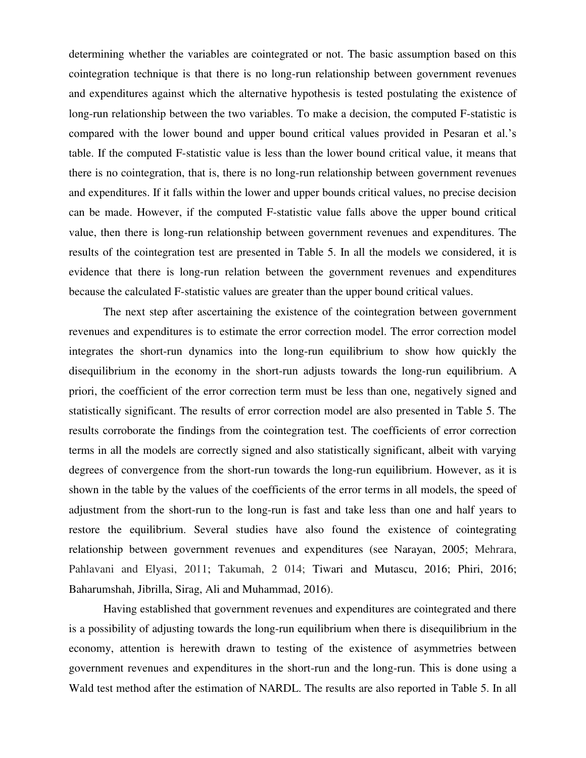determining whether the variables are cointegrated or not. The basic assumption based on this cointegration technique is that there is no long-run relationship between government revenues and expenditures against which the alternative hypothesis is tested postulating the existence of long-run relationship between the two variables. To make a decision, the computed F-statistic is compared with the lower bound and upper bound critical values provided in Pesaran et al.'s table. If the computed F-statistic value is less than the lower bound critical value, it means that there is no cointegration, that is, there is no long-run relationship between government revenues and expenditures. If it falls within the lower and upper bounds critical values, no precise decision can be made. However, if the computed F-statistic value falls above the upper bound critical value, then there is long-run relationship between government revenues and expenditures. The results of the cointegration test are presented in Table 5. In all the models we considered, it is evidence that there is long-run relation between the government revenues and expenditures because the calculated F-statistic values are greater than the upper bound critical values.

 The next step after ascertaining the existence of the cointegration between government revenues and expenditures is to estimate the error correction model. The error correction model integrates the short-run dynamics into the long-run equilibrium to show how quickly the disequilibrium in the economy in the short-run adjusts towards the long-run equilibrium. A priori, the coefficient of the error correction term must be less than one, negatively signed and statistically significant. The results of error correction model are also presented in Table 5. The results corroborate the findings from the cointegration test. The coefficients of error correction terms in all the models are correctly signed and also statistically significant, albeit with varying degrees of convergence from the short-run towards the long-run equilibrium. However, as it is shown in the table by the values of the coefficients of the error terms in all models, the speed of adjustment from the short-run to the long-run is fast and take less than one and half years to restore the equilibrium. Several studies have also found the existence of cointegrating relationship between government revenues and expenditures (see Narayan, 2005; Mehrara, Pahlavani and Elyasi, 2011; Takumah, 2 014; Tiwari and Mutascu, 2016; Phiri, 2016; Baharumshah, Jibrilla, Sirag, Ali and Muhammad, 2016).

 Having established that government revenues and expenditures are cointegrated and there is a possibility of adjusting towards the long-run equilibrium when there is disequilibrium in the economy, attention is herewith drawn to testing of the existence of asymmetries between government revenues and expenditures in the short-run and the long-run. This is done using a Wald test method after the estimation of NARDL. The results are also reported in Table 5. In all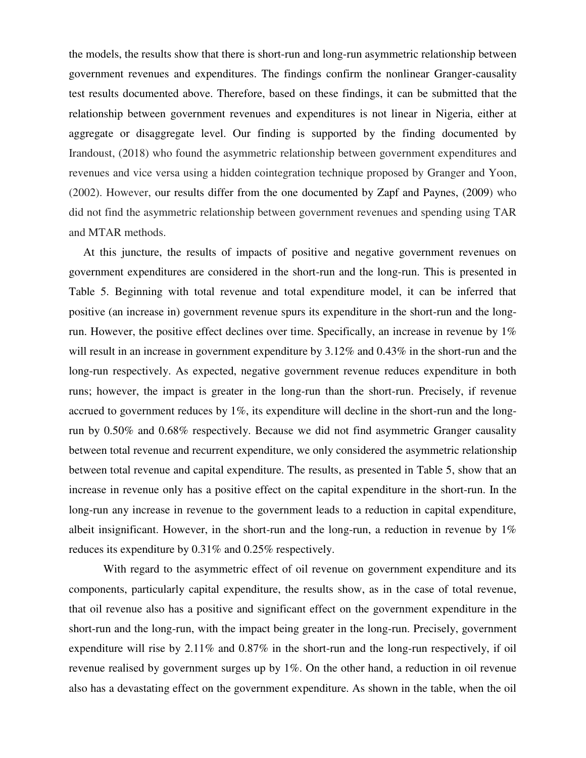the models, the results show that there is short-run and long-run asymmetric relationship between government revenues and expenditures. The findings confirm the nonlinear Granger-causality test results documented above. Therefore, based on these findings, it can be submitted that the relationship between government revenues and expenditures is not linear in Nigeria, either at aggregate or disaggregate level. Our finding is supported by the finding documented by Irandoust, (2018) who found the asymmetric relationship between government expenditures and revenues and vice versa using a hidden cointegration technique proposed by Granger and Yoon, (2002). However, our results differ from the one documented by Zapf and Paynes, (2009) who did not find the asymmetric relationship between government revenues and spending using TAR and MTAR methods.

 At this juncture, the results of impacts of positive and negative government revenues on government expenditures are considered in the short-run and the long-run. This is presented in Table 5. Beginning with total revenue and total expenditure model, it can be inferred that positive (an increase in) government revenue spurs its expenditure in the short-run and the longrun. However, the positive effect declines over time. Specifically, an increase in revenue by 1% will result in an increase in government expenditure by  $3.12\%$  and  $0.43\%$  in the short-run and the long-run respectively. As expected, negative government revenue reduces expenditure in both runs; however, the impact is greater in the long-run than the short-run. Precisely, if revenue accrued to government reduces by 1%, its expenditure will decline in the short-run and the longrun by 0.50% and 0.68% respectively. Because we did not find asymmetric Granger causality between total revenue and recurrent expenditure, we only considered the asymmetric relationship between total revenue and capital expenditure. The results, as presented in Table 5, show that an increase in revenue only has a positive effect on the capital expenditure in the short-run. In the long-run any increase in revenue to the government leads to a reduction in capital expenditure, albeit insignificant. However, in the short-run and the long-run, a reduction in revenue by 1% reduces its expenditure by 0.31% and 0.25% respectively.

 With regard to the asymmetric effect of oil revenue on government expenditure and its components, particularly capital expenditure, the results show, as in the case of total revenue, that oil revenue also has a positive and significant effect on the government expenditure in the short-run and the long-run, with the impact being greater in the long-run. Precisely, government expenditure will rise by 2.11% and 0.87% in the short-run and the long-run respectively, if oil revenue realised by government surges up by 1%. On the other hand, a reduction in oil revenue also has a devastating effect on the government expenditure. As shown in the table, when the oil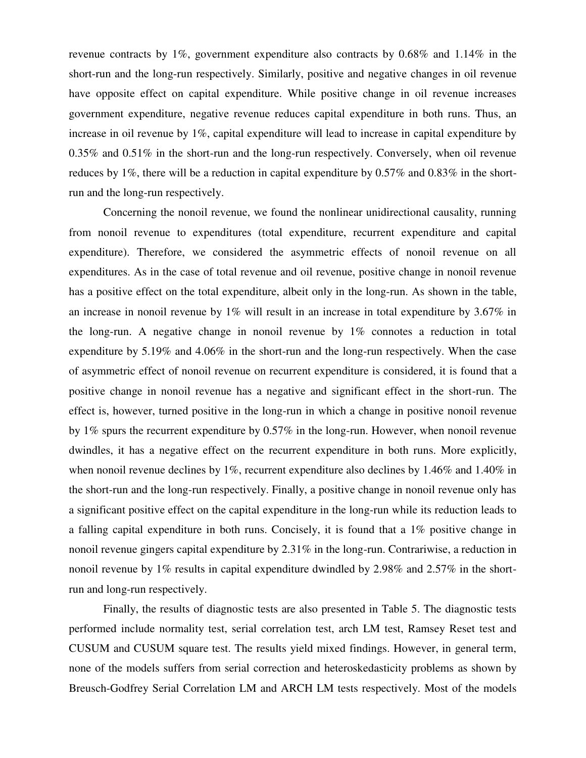revenue contracts by 1%, government expenditure also contracts by 0.68% and 1.14% in the short-run and the long-run respectively. Similarly, positive and negative changes in oil revenue have opposite effect on capital expenditure. While positive change in oil revenue increases government expenditure, negative revenue reduces capital expenditure in both runs. Thus, an increase in oil revenue by 1%, capital expenditure will lead to increase in capital expenditure by 0.35% and 0.51% in the short-run and the long-run respectively. Conversely, when oil revenue reduces by 1%, there will be a reduction in capital expenditure by 0.57% and 0.83% in the shortrun and the long-run respectively.

 Concerning the nonoil revenue, we found the nonlinear unidirectional causality, running from nonoil revenue to expenditures (total expenditure, recurrent expenditure and capital expenditure). Therefore, we considered the asymmetric effects of nonoil revenue on all expenditures. As in the case of total revenue and oil revenue, positive change in nonoil revenue has a positive effect on the total expenditure, albeit only in the long-run. As shown in the table, an increase in nonoil revenue by 1% will result in an increase in total expenditure by 3.67% in the long-run. A negative change in nonoil revenue by 1% connotes a reduction in total expenditure by 5.19% and 4.06% in the short-run and the long-run respectively. When the case of asymmetric effect of nonoil revenue on recurrent expenditure is considered, it is found that a positive change in nonoil revenue has a negative and significant effect in the short-run. The effect is, however, turned positive in the long-run in which a change in positive nonoil revenue by 1% spurs the recurrent expenditure by 0.57% in the long-run. However, when nonoil revenue dwindles, it has a negative effect on the recurrent expenditure in both runs. More explicitly, when nonoil revenue declines by 1%, recurrent expenditure also declines by 1.46% and 1.40% in the short-run and the long-run respectively. Finally, a positive change in nonoil revenue only has a significant positive effect on the capital expenditure in the long-run while its reduction leads to a falling capital expenditure in both runs. Concisely, it is found that a 1% positive change in nonoil revenue gingers capital expenditure by 2.31% in the long-run. Contrariwise, a reduction in nonoil revenue by 1% results in capital expenditure dwindled by 2.98% and 2.57% in the shortrun and long-run respectively.

 Finally, the results of diagnostic tests are also presented in Table 5. The diagnostic tests performed include normality test, serial correlation test, arch LM test, Ramsey Reset test and CUSUM and CUSUM square test. The results yield mixed findings. However, in general term, none of the models suffers from serial correction and heteroskedasticity problems as shown by Breusch-Godfrey Serial Correlation LM and ARCH LM tests respectively. Most of the models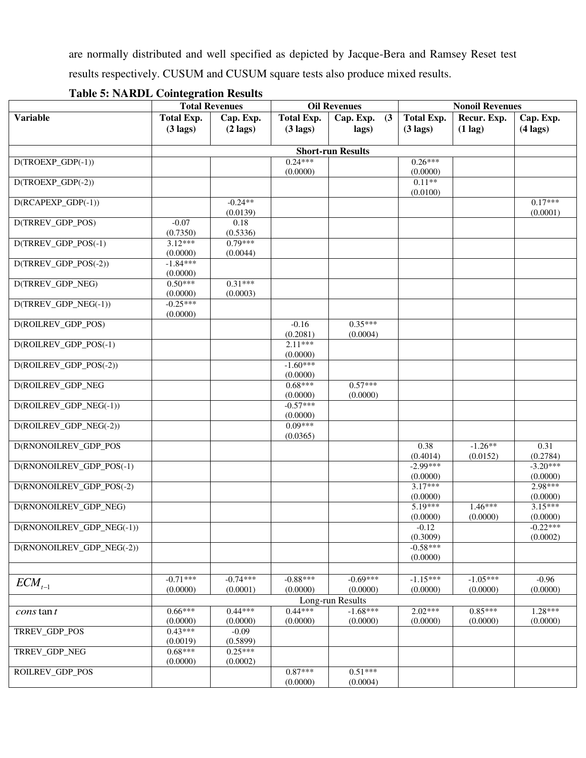are normally distributed and well specified as depicted by Jacque-Bera and Ramsey Reset test results respectively. CUSUM and CUSUM square tests also produce mixed results.

|                           | <b>Total Revenues</b><br><b>Oil Revenues</b> |                       |                        | <b>Nonoil Revenues</b>   |                       |             |                     |
|---------------------------|----------------------------------------------|-----------------------|------------------------|--------------------------|-----------------------|-------------|---------------------|
| <b>Variable</b>           | <b>Total Exp.</b>                            | Cap. Exp.             | <b>Total Exp.</b>      | Cap. Exp.<br>(3)         | <b>Total Exp.</b>     | Recur. Exp. | Cap. Exp.           |
|                           | $(3 \text{ lags})$                           | $(2 \text{ lags})$    | $(3 \text{ lags})$     | lags)                    | $(3 \text{ lags})$    | $(1$ lag)   | $(4 \text{ lags})$  |
|                           |                                              |                       |                        |                          |                       |             |                     |
|                           |                                              |                       |                        | <b>Short-run Results</b> |                       |             |                     |
| $D(TROEXP_GDP(-1))$       |                                              |                       | $0.24***$              |                          | $0.26***$             |             |                     |
|                           |                                              |                       | (0.0000)               |                          | (0.0000)<br>$0.11**$  |             |                     |
| $D(TROEXP_GDP(-2))$       |                                              |                       |                        |                          | (0.0100)              |             |                     |
| $D(RCAPEXP_GDP(-1))$      |                                              | $-0.24**$             |                        |                          |                       |             | $0.17***$           |
|                           |                                              | (0.0139)              |                        |                          |                       |             | (0.0001)            |
| <b>D(TRREV GDP POS)</b>   | $-0.07$                                      | 0.18                  |                        |                          |                       |             |                     |
|                           | (0.7350)                                     | (0.5336)              |                        |                          |                       |             |                     |
| D(TRREV_GDP_POS(-1)       | $3.12***$                                    | $0.79***$             |                        |                          |                       |             |                     |
| D(TRREV_GDP_POS(-2))      | (0.0000)<br>$-1.84***$                       | (0.0044)              |                        |                          |                       |             |                     |
|                           | (0.0000)                                     |                       |                        |                          |                       |             |                     |
| D(TRREV_GDP_NEG)          | $0.50***$                                    | $0.31***$             |                        |                          |                       |             |                     |
|                           | (0.0000)                                     | (0.0003)              |                        |                          |                       |             |                     |
| D(TRREV_GDP_NEG(-1))      | $-0.25***$                                   |                       |                        |                          |                       |             |                     |
|                           | (0.0000)                                     |                       |                        |                          |                       |             |                     |
| D(ROILREV_GDP_POS)        |                                              |                       | $-0.16$                | $0.35***$                |                       |             |                     |
| D(ROILREV_GDP_POS(-1)     |                                              |                       | (0.2081)<br>$2.11***$  | (0.0004)                 |                       |             |                     |
|                           |                                              |                       | (0.0000)               |                          |                       |             |                     |
| D(ROILREV_GDP_POS(-2))    |                                              |                       | $-1.60***$             |                          |                       |             |                     |
|                           |                                              |                       | (0.0000)               |                          |                       |             |                     |
| D(ROILREV_GDP_NEG         |                                              |                       | $0.68***$              | $0.57***$                |                       |             |                     |
|                           |                                              |                       | (0.0000)               | (0.0000)                 |                       |             |                     |
| D(ROILREV_GDP_NEG(-1))    |                                              |                       | $-0.57***$<br>(0.0000) |                          |                       |             |                     |
| D(ROILREV_GDP_NEG(-2))    |                                              |                       | $0.09***$              |                          |                       |             |                     |
|                           |                                              |                       | (0.0365)               |                          |                       |             |                     |
| D(RNONOILREV_GDP_POS      |                                              |                       |                        |                          | 0.38                  | $-1.26**$   | 0.31                |
|                           |                                              |                       |                        |                          | (0.4014)              | (0.0152)    | (0.2784)            |
| D(RNONOILREV_GDP_POS(-1)  |                                              |                       |                        |                          | $-2.99***$            |             | $-3.20***$          |
|                           |                                              |                       |                        |                          | (0.0000)<br>$3.17***$ |             | (0.0000)<br>2.98*** |
| D(RNONOILREV_GDP_POS(-2)  |                                              |                       |                        |                          | (0.0000)              |             | (0.0000)            |
| D(RNONOILREV_GDP_NEG)     |                                              |                       |                        |                          | 5.19***               | $1.46***$   | $3.15***$           |
|                           |                                              |                       |                        |                          | (0.0000)              | (0.0000)    | (0.0000)            |
| D(RNONOILREV_GDP_NEG(-1)) |                                              |                       |                        |                          | $-0.12$               |             | $-0.22***$          |
|                           |                                              |                       |                        |                          | (0.3009)              |             | (0.0002)            |
| D(RNONOILREV_GDP_NEG(-2)) |                                              |                       |                        |                          | $-0.58***$            |             |                     |
|                           |                                              |                       |                        |                          | (0.0000)              |             |                     |
|                           | $-0.71***$                                   | $-0.74***$            | $-0.88***$             | $-0.69***$               | $-1.15***$            | $-1.05***$  | $-0.96$             |
| $ECM_{t-1}$               | (0.0000)                                     | (0.0001)              | (0.0000)               | (0.0000)                 | (0.0000)              | (0.0000)    | (0.0000)            |
|                           |                                              |                       |                        | Long-run Results         |                       |             |                     |
| <i>cons</i> tan t         | $0.66***$                                    | $0.44***$             | $0.44***$              | $-1.68***$               | 2.02***               | $0.85***$   | 1.28***             |
|                           | (0.0000)                                     | (0.0000)              | (0.0000)               | (0.0000)                 | (0.0000)              | (0.0000)    | (0.0000)            |
| TRREV_GDP_POS             | $0.43***$                                    | $-0.09$               |                        |                          |                       |             |                     |
|                           | (0.0019)                                     | (0.5899)<br>$0.25***$ |                        |                          |                       |             |                     |
| TRREV_GDP_NEG             | $0.68***$<br>(0.0000)                        | (0.0002)              |                        |                          |                       |             |                     |
| ROILREV_GDP_POS           |                                              |                       | $0.87***$              | $0.51***$                |                       |             |                     |
|                           |                                              |                       | (0.0000)               | (0.0004)                 |                       |             |                     |

# **Table 5: NARDL Cointegration Results**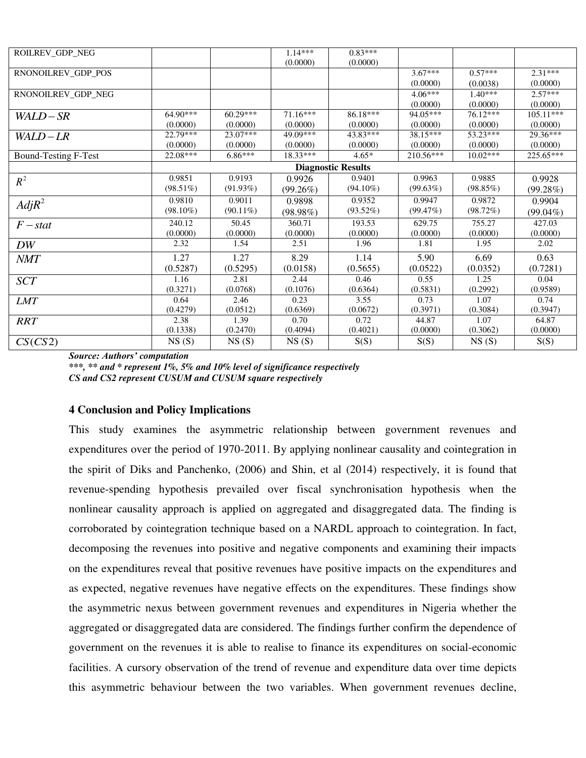| ROILREV GDP NEG             |             |             | $1.14***$   | $0.83***$                 |           |            |             |
|-----------------------------|-------------|-------------|-------------|---------------------------|-----------|------------|-------------|
|                             |             |             | (0.0000)    | (0.0000)                  |           |            |             |
| RNONOILREV_GDP_POS          |             |             |             |                           | $3.67***$ | $0.57***$  | $2.31***$   |
|                             |             |             |             |                           | (0.0000)  | (0.0038)   | (0.0000)    |
| RNONOILREV_GDP_NEG          |             |             |             |                           | $4.06***$ | $1.40***$  | $2.57***$   |
|                             |             |             |             |                           | (0.0000)  | (0.0000)   | (0.0000)    |
| WALD-SR                     | $64.90***$  | $60.29***$  | $71.16***$  | 86.18***                  | 94.05***  | 76.12***   | $105.11***$ |
|                             | (0.0000)    | (0.0000)    | (0.0000)    | (0.0000)                  | (0.0000)  | (0.0000)   | (0.0000)    |
| WALD-LR                     | 22.79***    | 23.07***    | 49.09***    | 43.83***                  | 38.15***  | 53.23***   | 29.36***    |
|                             | (0.0000)    | (0.0000)    | (0.0000)    | (0.0000)                  | (0.0000)  | (0.0000)   | (0.0000)    |
| <b>Bound-Testing F-Test</b> | 22.08***    | $6.86***$   | 18.33***    | $4.65*$                   | 210.56*** | $10.02***$ | 225.65***   |
|                             |             |             |             | <b>Diagnostic Results</b> |           |            |             |
| $R^2$                       | 0.9851      | 0.9193      | 0.9926      | 0.9401                    | 0.9963    | 0.9885     | 0.9928      |
|                             | $(98.51\%)$ | $(91.93\%)$ | $(99.26\%)$ | $(94.10\%)$               | (99.63%)  | (98.85%)   | (99.28%)    |
| $Adj R^2$                   | 0.9810      | 0.9011      | 0.9898      | 0.9352                    | 0.9947    | 0.9872     | 0.9904      |
|                             | $(98.10\%)$ | $(90.11\%)$ | $(98.98\%)$ | $(93.52\%)$               | (99.47%)  | (98.72%)   | $(99.04\%)$ |
| $F - stat$                  | 240.12      | 50.45       | 360.71      | 193.53                    | 629.75    | 755.27     | 427.03      |
|                             | (0.0000)    | (0.0000)    | (0.0000)    | (0.0000)                  | (0.0000)  | (0.0000)   | (0.0000)    |
| DW                          | 2.32        | 1.54        | 2.51        | 1.96                      | 1.81      | 1.95       | 2.02        |
| <b>NMT</b>                  | 1.27        | 1.27        | 8.29        | 1.14                      | 5.90      | 6.69       | 0.63        |
|                             | (0.5287)    | (0.5295)    | (0.0158)    | (0.5655)                  | (0.0522)  | (0.0352)   | (0.7281)    |
| <b>SCT</b>                  | 1.16        | 2.81        | 2.44        | 0.46                      | 0.55      | 1.25       | 0.04        |
|                             | (0.3271)    | (0.0768)    | (0.1076)    | (0.6364)                  | (0.5831)  | (0.2992)   | (0.9589)    |
| <i>LMT</i>                  | 0.64        | 2.46        | 0.23        | 3.55                      | 0.73      | 1.07       | 0.74        |
|                             | (0.4279)    | (0.0512)    | (0.6369)    | (0.0672)                  | (0.3971)  | (0.3084)   | (0.3947)    |
| <b>RRT</b>                  | 2.38        | 1.39        | 0.70        | 0.72                      | 44.87     | 1.07       | 64.87       |
|                             | (0.1338)    | (0.2470)    | (0.4094)    | (0.4021)                  | (0.0000)  | (0.3062)   | (0.0000)    |
| CS(CS2)                     | NS(S)       | NS(S)       | NS(S)       | S(S)                      | S(S)      | NS(S)      | S(S)        |

*Source: Authors' computation* 

*\*\*\*, \*\* and \* represent 1%, 5% and 10% level of significance respectively CS and CS2 represent CUSUM and CUSUM square respectively* 

#### **4 Conclusion and Policy Implications**

This study examines the asymmetric relationship between government revenues and expenditures over the period of 1970-2011. By applying nonlinear causality and cointegration in the spirit of Diks and Panchenko, (2006) and Shin, et al (2014) respectively, it is found that revenue-spending hypothesis prevailed over fiscal synchronisation hypothesis when the nonlinear causality approach is applied on aggregated and disaggregated data. The finding is corroborated by cointegration technique based on a NARDL approach to cointegration. In fact, decomposing the revenues into positive and negative components and examining their impacts on the expenditures reveal that positive revenues have positive impacts on the expenditures and as expected, negative revenues have negative effects on the expenditures. These findings show the asymmetric nexus between government revenues and expenditures in Nigeria whether the aggregated or disaggregated data are considered. The findings further confirm the dependence of government on the revenues it is able to realise to finance its expenditures on social-economic facilities. A cursory observation of the trend of revenue and expenditure data over time depicts this asymmetric behaviour between the two variables. When government revenues decline,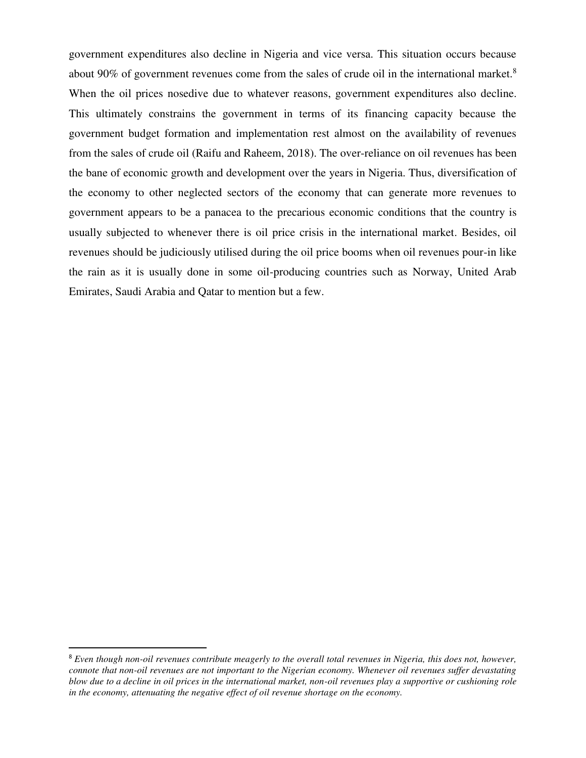government expenditures also decline in Nigeria and vice versa. This situation occurs because about 90% of government revenues come from the sales of crude oil in the international market.<sup>8</sup> When the oil prices nosedive due to whatever reasons, government expenditures also decline. This ultimately constrains the government in terms of its financing capacity because the government budget formation and implementation rest almost on the availability of revenues from the sales of crude oil (Raifu and Raheem, 2018). The over-reliance on oil revenues has been the bane of economic growth and development over the years in Nigeria. Thus, diversification of the economy to other neglected sectors of the economy that can generate more revenues to government appears to be a panacea to the precarious economic conditions that the country is usually subjected to whenever there is oil price crisis in the international market. Besides, oil revenues should be judiciously utilised during the oil price booms when oil revenues pour-in like the rain as it is usually done in some oil-producing countries such as Norway, United Arab Emirates, Saudi Arabia and Qatar to mention but a few.

l

<sup>8</sup> *Even though non-oil revenues contribute meagerly to the overall total revenues in Nigeria, this does not, however, connote that non-oil revenues are not important to the Nigerian economy. Whenever oil revenues suffer devastating blow due to a decline in oil prices in the international market, non-oil revenues play a supportive or cushioning role in the economy, attenuating the negative effect of oil revenue shortage on the economy.*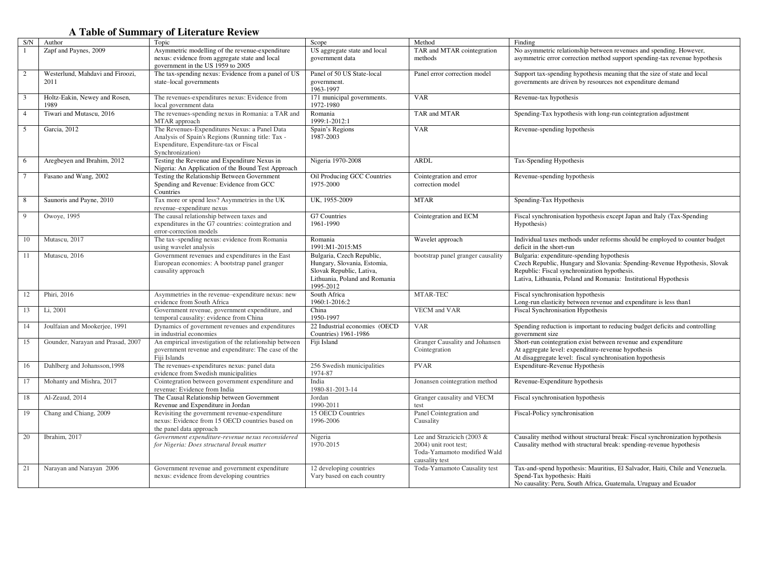# **A Table of Summary of Literature Review**

| S/N            | Author                                   | Topic                                                                                                                                                            | Scope                                                                                                                              | Method                                                                                               | Finding                                                                                                                                                                                                                                   |
|----------------|------------------------------------------|------------------------------------------------------------------------------------------------------------------------------------------------------------------|------------------------------------------------------------------------------------------------------------------------------------|------------------------------------------------------------------------------------------------------|-------------------------------------------------------------------------------------------------------------------------------------------------------------------------------------------------------------------------------------------|
|                | Zapf and Paynes, 2009                    | Asymmetric modelling of the revenue-expenditure<br>nexus: evidence from aggregate state and local<br>government in the US 1959 to 2005                           | US aggregate state and local<br>government data                                                                                    | TAR and MTAR cointegration<br>methods                                                                | No asymmetric relationship between revenues and spending. However,<br>asymmetric error correction method support spending-tax revenue hypothesis                                                                                          |
| 2              | Westerlund, Mahdavi and Firoozi,<br>2011 | The tax-spending nexus: Evidence from a panel of US<br>state-local governments                                                                                   | Panel of 50 US State-local<br>government.<br>1963-1997                                                                             | Panel error correction model                                                                         | Support tax-spending hypothesis meaning that the size of state and local<br>governments are driven by resources not expenditure demand                                                                                                    |
| 3              | Holtz-Eakin, Newey and Rosen,<br>1989    | The revenues-expenditures nexus: Evidence from<br>local government data                                                                                          | 171 municipal governments.<br>1972-1980                                                                                            | <b>VAR</b>                                                                                           | Revenue-tax hypothesis                                                                                                                                                                                                                    |
| $\overline{4}$ | Tiwari and Mutascu, 2016                 | The revenues-spending nexus in Romania: a TAR and<br>MTAR approach                                                                                               | Romania<br>1999:1-2012:1                                                                                                           | TAR and MTAR                                                                                         | Spending-Tax hypothesis with long-run cointegration adjustment                                                                                                                                                                            |
| 5              | Garcia, 2012                             | The Revenues-Expenditures Nexus: a Panel Data<br>Analysis of Spain's Regions (Running title: Tax -<br>Expenditure, Expenditure-tax or Fiscal<br>Synchronization) | Spain's Regions<br>1987-2003                                                                                                       | <b>VAR</b>                                                                                           | Revenue-spending hypothesis                                                                                                                                                                                                               |
| 6              | Aregbeyen and Ibrahim, 2012              | Testing the Revenue and Expenditure Nexus in<br>Nigeria: An Application of the Bound Test Approach                                                               | Nigeria 1970-2008                                                                                                                  | <b>ARDL</b>                                                                                          | Tax-Spending Hypothesis                                                                                                                                                                                                                   |
|                | Fasano and Wang, 2002                    | Testing the Relationship Between Government<br>Spending and Revenue: Evidence from GCC<br>Countries                                                              | Oil Producing GCC Countries<br>1975-2000                                                                                           | Cointegration and error<br>correction model                                                          | Revenue-spending hypothesis                                                                                                                                                                                                               |
| 8              | Saunoris and Payne, 2010                 | Tax more or spend less? Asymmetries in the UK<br>revenue-expenditure nexus                                                                                       | UK. 1955-2009                                                                                                                      | <b>MTAR</b>                                                                                          | Spending-Tax Hypothesis                                                                                                                                                                                                                   |
| 9              | Owoye, 1995                              | The causal relationship between taxes and<br>expenditures in the G7 countries: cointegration and<br>error-correction models                                      | G7 Countries<br>1961-1990                                                                                                          | Cointegration and ECM                                                                                | Fiscal synchronisation hypothesis except Japan and Italy (Tax-Spending)<br>Hypothesis)                                                                                                                                                    |
| 10             | Mutascu, 2017                            | The tax-spending nexus: evidence from Romania<br>using wavelet analysis                                                                                          | Romania<br>1991:M1-2015:M5                                                                                                         | Wavelet approach                                                                                     | Individual taxes methods under reforms should be employed to counter budget<br>deficit in the short-run                                                                                                                                   |
| 11             | Mutascu, 2016                            | Government revenues and expenditures in the East<br>European economies: A bootstrap panel granger<br>causality approach                                          | Bulgaria, Czech Republic,<br>Hungary, Slovania, Estomia,<br>Slovak Republic, Lativa,<br>Lithuania, Poland and Romania<br>1995-2012 | bootstrap panel granger causality                                                                    | Bulgaria: expenditure-spending hypothesis<br>Czech Republic, Hungary and Slovania: Spending-Revenue Hypothesis, Slovak<br>Republic: Fiscal synchronization hypothesis.<br>Lativa, Lithuania, Poland and Romania: Institutional Hypothesis |
| 12             | Phiri, 2016                              | Asymmetries in the revenue-expenditure nexus: new<br>evidence from South Africa                                                                                  | South Africa<br>1960:1-2016:2                                                                                                      | MTAR-TEC                                                                                             | Fiscal synchronisation hypothesis<br>Long-run elasticity between revenue and expenditure is less than1                                                                                                                                    |
| 13             | Li, 2001                                 | Government revenue, government expenditure, and<br>temporal causality: evidence from China                                                                       | China<br>1950-1997                                                                                                                 | <b>VECM</b> and VAR                                                                                  | <b>Fiscal Synchronisation Hypothesis</b>                                                                                                                                                                                                  |
| 14             | Joulfaian and Mookerjee, 1991            | Dynamics of government revenues and expenditures<br>in industrial economies                                                                                      | 22 Industrial economies (OECD<br>Countries) 1961-1986                                                                              | <b>VAR</b>                                                                                           | Spending reduction is important to reducing budget deficits and controlling<br>government size                                                                                                                                            |
| 15             | Gounder, Narayan and Prasad, 2007        | An empirical investigation of the relationship between<br>government revenue and expenditure: The case of the<br>Fiji Islands                                    | Fiji Island                                                                                                                        | Granger Causality and Johansen<br>Cointegration                                                      | Short-run cointegration exist between revenue and expenditure<br>At aggregate level: expenditure-revenue hypothesis<br>At disaggregate level: fiscal synchronisation hypothesis                                                           |
| 16             | Dahlberg and Johansson, 1998             | The revenues-expenditures nexus: panel data<br>evidence from Swedish municipalities                                                                              | 256 Swedish municipalities<br>1974-87                                                                                              | <b>PVAR</b>                                                                                          | Expenditure-Revenue Hypothesis                                                                                                                                                                                                            |
| 17             | Mohanty and Mishra, 2017                 | Cointegration between government expenditure and<br>revenue: Evidence from India                                                                                 | India<br>1980-81-2013-14                                                                                                           | Jonansen cointegration method                                                                        | Revenue-Expenditure hypothesis                                                                                                                                                                                                            |
| 18             | Al-Zeaud, 2014                           | The Causal Relationship between Government<br>Revenue and Expenditure in Jordan                                                                                  | Jordan<br>1990-2011                                                                                                                | Granger causality and VECM<br>test                                                                   | Fiscal synchronisation hypothesis                                                                                                                                                                                                         |
| 19             | Chang and Chiang, 2009                   | Revisiting the government revenue-expenditure<br>nexus: Evidence from 15 OECD countries based on<br>the panel data approach                                      | 15 OECD Countries<br>1996-2006                                                                                                     | Panel Cointegration and<br>Causality                                                                 | Fiscal-Policy synchronisation                                                                                                                                                                                                             |
| 20             | Ibrahim, 2017                            | Government expenditure-revenue nexus reconsidered<br>for Nigeria: Does structural break matter                                                                   | Nigeria<br>1970-2015                                                                                                               | Lee and Strazicich (2003 &<br>2004) unit root test;<br>Toda-Yamamoto modified Wald<br>causality test | Causality method without structural break: Fiscal synchronization hypothesis<br>Causality method with structural break: spending-revenue hypothesis                                                                                       |
| 21             | Narayan and Narayan 2006                 | Government revenue and government expenditure<br>nexus: evidence from developing countries                                                                       | 12 developing countries<br>Vary based on each country                                                                              | Toda-Yamamoto Causality test                                                                         | Tax-and-spend hypothesis: Mauritius, El Salvador, Haiti, Chile and Venezuela.<br>Spend-Tax hypothesis: Haiti<br>No causality: Peru, South Africa, Guatemala, Uruguay and Ecuador                                                          |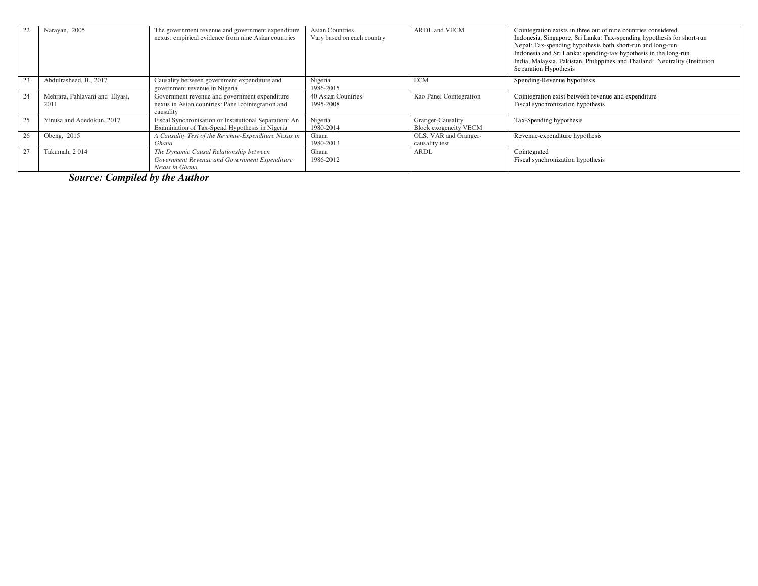|    | Narayan, 2005                          | The government revenue and government expenditure<br>nexus: empirical evidence from nine Asian countries        | <b>Asian Countries</b><br>Vary based on each country | <b>ARDL</b> and <b>VECM</b>                | Cointegration exists in three out of nine countries considered.<br>Indonesia, Singapore, Sri Lanka: Tax-spending hypothesis for short-run<br>Nepal: Tax-spending hypothesis both short-run and long-run<br>Indonesia and Sri Lanka: spending-tax hypothesis in the long-run<br>India, Malaysia, Pakistan, Philippines and Thailand: Neutrality (Insitution<br>Separation Hypothesis |
|----|----------------------------------------|-----------------------------------------------------------------------------------------------------------------|------------------------------------------------------|--------------------------------------------|-------------------------------------------------------------------------------------------------------------------------------------------------------------------------------------------------------------------------------------------------------------------------------------------------------------------------------------------------------------------------------------|
| 23 | Abdulrasheed, B., 2017                 | Causality between government expenditure and<br>government revenue in Nigeria                                   | Nigeria<br>1986-2015                                 | <b>ECM</b>                                 | Spending-Revenue hypothesis                                                                                                                                                                                                                                                                                                                                                         |
| 24 | Mehrara, Pahlavani and Elyasi,<br>2011 | Government revenue and government expenditure<br>nexus in Asian countries: Panel cointegration and<br>causality | 40 Asian Countries<br>1995-2008                      | Kao Panel Cointegration                    | Cointegration exist between revenue and expenditure<br>Fiscal synchronization hypothesis                                                                                                                                                                                                                                                                                            |
| 25 | Yinusa and Adedokun, 2017              | Fiscal Synchronisation or Institutional Separation: An<br>Examination of Tax-Spend Hypothesis in Nigeria        | Nigeria<br>1980-2014                                 | Granger-Causality<br>Block exogeneity VECM | Tax-Spending hypothesis                                                                                                                                                                                                                                                                                                                                                             |
| 26 | Obeng, 2015                            | A Causality Test of the Revenue-Expenditure Nexus in<br>Ghana                                                   | Ghana<br>1980-2013                                   | OLS, VAR and Granger-<br>causality test    | Revenue-expenditure hypothesis                                                                                                                                                                                                                                                                                                                                                      |
| 27 | Takumah, 2014                          | The Dynamic Causal Relationship between<br>Government Revenue and Government Expenditure<br>Nexus in Ghana      | Ghana<br>1986-2012                                   | <b>ARDL</b>                                | Cointegrated<br>Fiscal synchronization hypothesis                                                                                                                                                                                                                                                                                                                                   |

*Source: Compiled by the Author*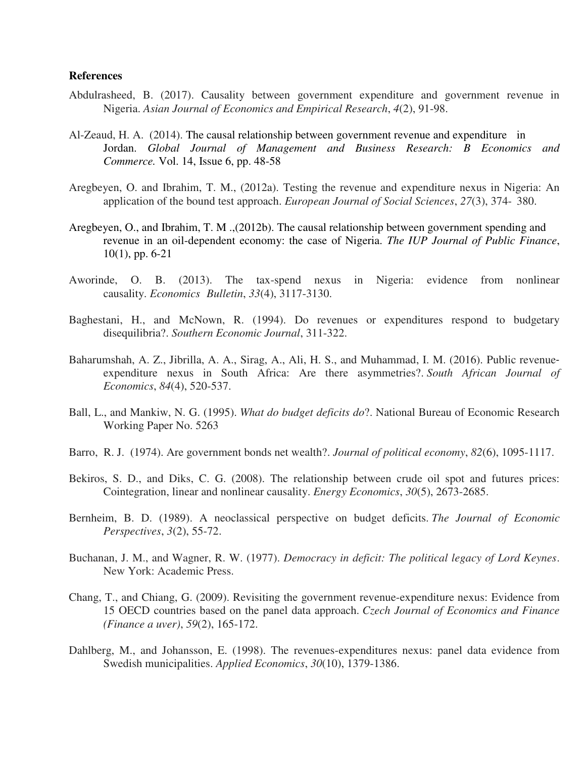#### **References**

- Abdulrasheed, B. (2017). Causality between government expenditure and government revenue in Nigeria. *Asian Journal of Economics and Empirical Research*, *4*(2), 91-98.
- Al-Zeaud, H. A. (2014). The causal relationship between government revenue and expenditure in Jordan. *Global Journal of Management and Business Research: B Economics and Commerce.* Vol. 14, Issue 6, pp. 48-58
- Aregbeyen, O. and Ibrahim, T. M., (2012a). Testing the revenue and expenditure nexus in Nigeria: An application of the bound test approach. *European Journal of Social Sciences*, *27*(3), 374- 380.
- Aregbeyen, O., and Ibrahim, T. M .,(2012b). The causal relationship between government spending and revenue in an oil-dependent economy: the case of Nigeria. *The IUP Journal of Public Finance*, 10(1), pp. 6-21
- Aworinde, O. B. (2013). The tax-spend nexus in Nigeria: evidence from nonlinear causality. *Economics Bulletin*, *33*(4), 3117-3130.
- Baghestani, H., and McNown, R. (1994). Do revenues or expenditures respond to budgetary disequilibria?. *Southern Economic Journal*, 311-322.
- Baharumshah, A. Z., Jibrilla, A. A., Sirag, A., Ali, H. S., and Muhammad, I. M. (2016). Public revenue‐ expenditure nexus in South Africa: Are there asymmetries?. *South African Journal of Economics*, *84*(4), 520-537.
- Ball, L., and Mankiw, N. G. (1995). *What do budget deficits do*?. National Bureau of Economic Research Working Paper No. 5263
- Barro, R. J. (1974). Are government bonds net wealth?. *Journal of political economy*, *82*(6), 1095-1117.
- Bekiros, S. D., and Diks, C. G. (2008). The relationship between crude oil spot and futures prices: Cointegration, linear and nonlinear causality. *Energy Economics*, *30*(5), 2673-2685.
- Bernheim, B. D. (1989). A neoclassical perspective on budget deficits. *The Journal of Economic Perspectives*, *3*(2), 55-72.
- Buchanan, J. M., and Wagner, R. W. (1977). *Democracy in deficit: The political legacy of Lord Keynes*. New York: Academic Press.
- Chang, T., and Chiang, G. (2009). Revisiting the government revenue-expenditure nexus: Evidence from 15 OECD countries based on the panel data approach. *Czech Journal of Economics and Finance (Finance a uver)*, *59*(2), 165-172.
- Dahlberg, M., and Johansson, E. (1998). The revenues-expenditures nexus: panel data evidence from Swedish municipalities. *Applied Economics*, *30*(10), 1379-1386.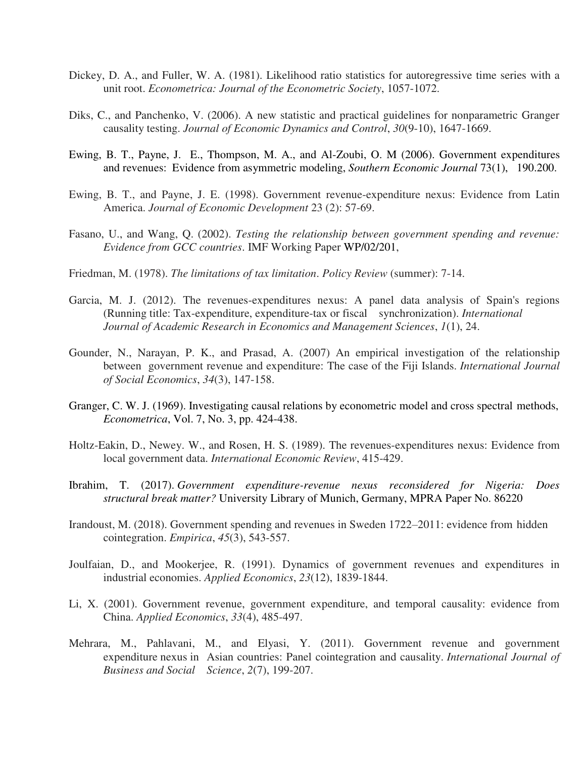- Dickey, D. A., and Fuller, W. A. (1981). Likelihood ratio statistics for autoregressive time series with a unit root. *Econometrica: Journal of the Econometric Society*, 1057-1072.
- Diks, C., and Panchenko, V. (2006). A new statistic and practical guidelines for nonparametric Granger causality testing. *Journal of Economic Dynamics and Control*, *30*(9-10), 1647-1669.
- Ewing, B. T., Payne, J. E., Thompson, M. A., and Al-Zoubi, O. M (2006). Government expenditures and revenues: Evidence from asymmetric modeling, *Southern Economic Journal* 73(1), 190.200.
- Ewing, B. T., and Payne, J. E. (1998). Government revenue-expenditure nexus: Evidence from Latin America. *Journal of Economic Development* 23 (2): 57-69.
- Fasano, U., and Wang, Q. (2002). *Testing the relationship between government spending and revenue: Evidence from GCC countries*. IMF Working Paper WP/02/201,
- Friedman, M. (1978). *The limitations of tax limitation*. *Policy Review* (summer): 7-14.
- Garcia, M. J. (2012). The revenues-expenditures nexus: A panel data analysis of Spain's regions (Running title: Tax-expenditure, expenditure-tax or fiscal synchronization). *International Journal of Academic Research in Economics and Management Sciences*, *1*(1), 24.
- Gounder, N., Narayan, P. K., and Prasad, A. (2007) An empirical investigation of the relationship between government revenue and expenditure: The case of the Fiji Islands. *International Journal of Social Economics*, *34*(3), 147-158.
- Granger, C. W. J. (1969). Investigating causal relations by econometric model and cross spectral methods, *Econometrica*, Vol. 7, No. 3, pp. 424-438.
- Holtz-Eakin, D., Newey. W., and Rosen, H. S. (1989). The revenues-expenditures nexus: Evidence from local government data. *International Economic Review*, 415-429.
- Ibrahim, T. (2017). *Government expenditure-revenue nexus reconsidered for Nigeria: Does structural break matter?* University Library of Munich, Germany, MPRA Paper No. 86220
- Irandoust, M. (2018). Government spending and revenues in Sweden 1722–2011: evidence from hidden cointegration. *Empirica*, *45*(3), 543-557.
- Joulfaian, D., and Mookerjee, R. (1991). Dynamics of government revenues and expenditures in industrial economies. *Applied Economics*, *23*(12), 1839-1844.
- Li, X. (2001). Government revenue, government expenditure, and temporal causality: evidence from China. *Applied Economics*, *33*(4), 485-497.
- Mehrara, M., Pahlavani, M., and Elyasi, Y. (2011). Government revenue and government expenditure nexus in Asian countries: Panel cointegration and causality. *International Journal of Business and Social Science*, *2*(7), 199-207.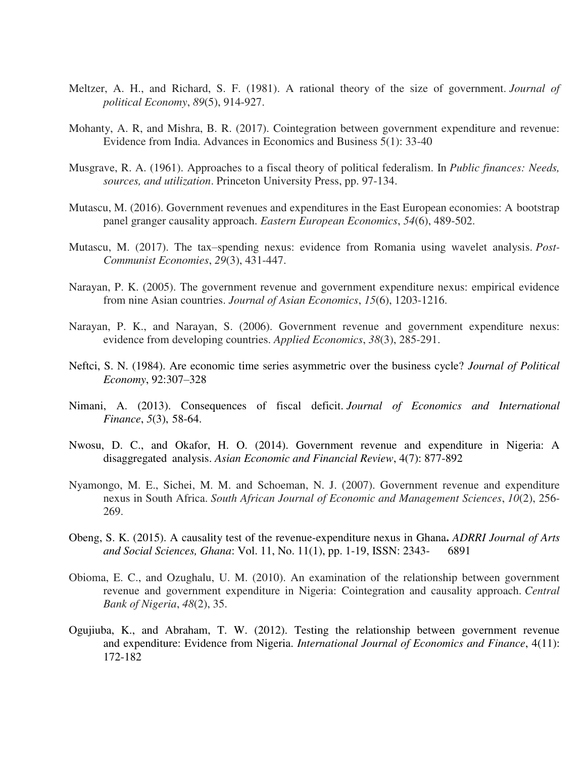- Meltzer, A. H., and Richard, S. F. (1981). A rational theory of the size of government. *Journal of political Economy*, *89*(5), 914-927.
- Mohanty, A. R, and Mishra, B. R. (2017). Cointegration between government expenditure and revenue: Evidence from India. Advances in Economics and Business 5(1): 33-40
- Musgrave, R. A. (1961). Approaches to a fiscal theory of political federalism. In *Public finances: Needs, sources, and utilization*. Princeton University Press, pp. 97-134.
- Mutascu, M. (2016). Government revenues and expenditures in the East European economies: A bootstrap panel granger causality approach. *Eastern European Economics*, *54*(6), 489-502.
- Mutascu, M. (2017). The tax–spending nexus: evidence from Romania using wavelet analysis. *Post- Communist Economies*, *29*(3), 431-447.
- Narayan, P. K. (2005). The government revenue and government expenditure nexus: empirical evidence from nine Asian countries. *Journal of Asian Economics*, *15*(6), 1203-1216.
- Narayan, P. K., and Narayan, S. (2006). Government revenue and government expenditure nexus: evidence from developing countries. *Applied Economics*, *38*(3), 285-291.
- Neftci, S. N. (1984). Are economic time series asymmetric over the business cycle? *Journal of Political Economy*, 92:307–328
- Nimani, A. (2013). Consequences of fiscal deficit. *Journal of Economics and International Finance*, *5*(3), 58-64.
- Nwosu, D. C., and Okafor, H. O. (2014). Government revenue and expenditure in Nigeria: A disaggregated analysis. *Asian Economic and Financial Review*, 4(7): 877-892
- Nyamongo, M. E., Sichei, M. M. and Schoeman, N. J. (2007). Government revenue and expenditure nexus in South Africa. *South African Journal of Economic and Management Sciences*, *10*(2), 256- 269.
- Obeng, S. K. (2015). A causality test of the revenue-expenditure nexus in Ghana**.** *ADRRI Journal of Arts and Social Sciences, Ghana*: Vol. 11, No. 11(1), pp. 1-19, ISSN: 2343- 6891
- Obioma, E. C., and Ozughalu, U. M. (2010). An examination of the relationship between government revenue and government expenditure in Nigeria: Cointegration and causality approach. *Central Bank of Nigeria*, *48*(2), 35.
- Ogujiuba, K., and Abraham, T. W. (2012). Testing the relationship between government revenue and expenditure: Evidence from Nigeria. *International Journal of Economics and Finance*, 4(11): 172-182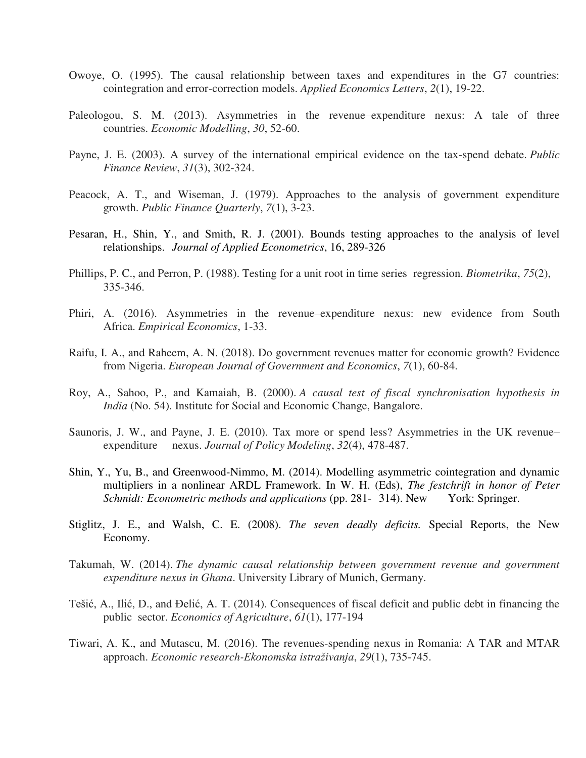- Owoye, O. (1995). The causal relationship between taxes and expenditures in the G7 countries: cointegration and error-correction models. *Applied Economics Letters*, *2*(1), 19-22.
- Paleologou, S. M. (2013). Asymmetries in the revenue–expenditure nexus: A tale of three countries. *Economic Modelling*, *30*, 52-60.
- Payne, J. E. (2003). A survey of the international empirical evidence on the tax-spend debate. *Public Finance Review*, *31*(3), 302-324.
- Peacock, A. T., and Wiseman, J. (1979). Approaches to the analysis of government expenditure growth. *Public Finance Quarterly*, *7*(1), 3-23.
- Pesaran, H., Shin, Y., and Smith, R. J. (2001). Bounds testing approaches to the analysis of level relationships. *Journal of Applied Econometrics*, 16, 289-326
- Phillips, P. C., and Perron, P. (1988). Testing for a unit root in time series regression. *Biometrika*, *75*(2), 335-346.
- Phiri, A. (2016). Asymmetries in the revenue–expenditure nexus: new evidence from South Africa. *Empirical Economics*, 1-33.
- Raifu, I. A., and Raheem, A. N. (2018). Do government revenues matter for economic growth? Evidence from Nigeria. *European Journal of Government and Economics*, *7*(1), 60-84.
- Roy, A., Sahoo, P., and Kamaiah, B. (2000). *A causal test of fiscal synchronisation hypothesis in India* (No. 54). Institute for Social and Economic Change, Bangalore.
- Saunoris, J. W., and Payne, J. E. (2010). Tax more or spend less? Asymmetries in the UK revenue– expenditure nexus. *Journal of Policy Modeling*, *32*(4), 478-487.
- Shin, Y., Yu, B., and Greenwood-Nimmo, M. (2014). Modelling asymmetric cointegration and dynamic multipliers in a nonlinear ARDL Framework. In W. H. (Eds), *The festchrift in honor of Peter Schmidt: Econometric methods and applications* (pp. 281- 314). New York: Springer.
- Stiglitz, J. E., and Walsh, C. E. (2008). *The seven deadly deficits.* Special Reports, the New Economy.
- Takumah, W. (2014). *The dynamic causal relationship between government revenue and government expenditure nexus in Ghana*. University Library of Munich, Germany.
- Tešić, A., Ilić, D., and Đelić, A. T. (2014). Consequences of fiscal deficit and public debt in financing the public sector. *Economics of Agriculture*, *61*(1), 177-194
- Tiwari, A. K., and Mutascu, M. (2016). The revenues-spending nexus in Romania: A TAR and MTAR approach. *Economic research-Ekonomska istraživanja*, *29*(1), 735-745.